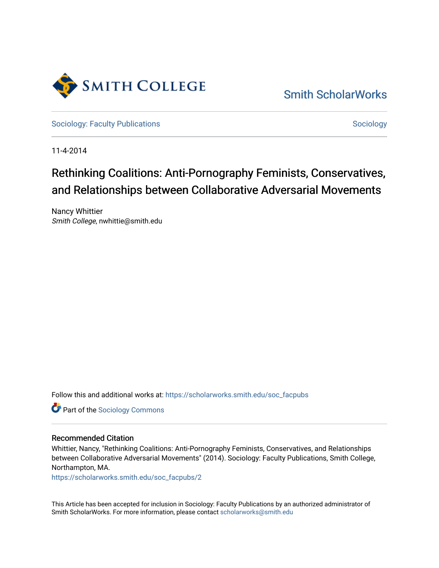

# [Smith ScholarWorks](https://scholarworks.smith.edu/)

[Sociology: Faculty Publications](https://scholarworks.smith.edu/soc_facpubs) Sociology: Sociology

11-4-2014

# Rethinking Coalitions: Anti-Pornography Feminists, Conservatives, and Relationships between Collaborative Adversarial Movements

Nancy Whittier Smith College, nwhittie@smith.edu

Follow this and additional works at: [https://scholarworks.smith.edu/soc\\_facpubs](https://scholarworks.smith.edu/soc_facpubs?utm_source=scholarworks.smith.edu%2Fsoc_facpubs%2F2&utm_medium=PDF&utm_campaign=PDFCoverPages) 

**Part of the [Sociology Commons](http://network.bepress.com/hgg/discipline/416?utm_source=scholarworks.smith.edu%2Fsoc_facpubs%2F2&utm_medium=PDF&utm_campaign=PDFCoverPages)** 

### Recommended Citation

Whittier, Nancy, "Rethinking Coalitions: Anti-Pornography Feminists, Conservatives, and Relationships between Collaborative Adversarial Movements" (2014). Sociology: Faculty Publications, Smith College, Northampton, MA.

[https://scholarworks.smith.edu/soc\\_facpubs/2](https://scholarworks.smith.edu/soc_facpubs/2?utm_source=scholarworks.smith.edu%2Fsoc_facpubs%2F2&utm_medium=PDF&utm_campaign=PDFCoverPages)

This Article has been accepted for inclusion in Sociology: Faculty Publications by an authorized administrator of Smith ScholarWorks. For more information, please contact [scholarworks@smith.edu](mailto:scholarworks@smith.edu)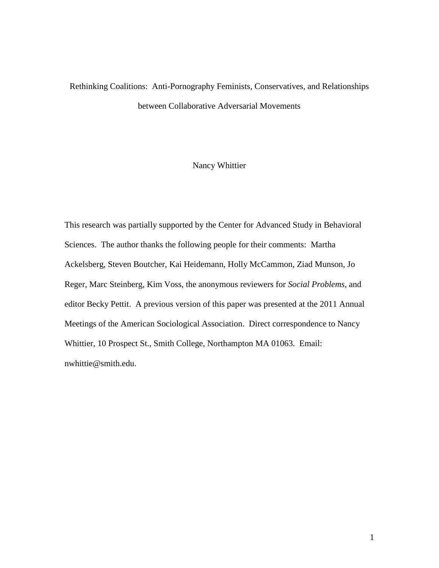# Rethinking Coalitions: Anti-Pornography Feminists, Conservatives, and Relationships between Collaborative Adversarial Movements

# Nancy Whittier

This research was partially supported by the Center for Advanced Study in Behavioral Sciences. The author thanks the following people for their comments: Martha Ackelsberg, Steven Boutcher, Kai Heidemann, Holly McCammon, Ziad Munson, Jo Reger, Marc Steinberg, Kim Voss, the anonymous reviewers for *Social Problems*, and editor Becky Pettit. A previous version of this paper was presented at the 2011 Annual Meetings of the American Sociological Association. Direct correspondence to Nancy Whittier, 10 Prospect St., Smith College, Northampton MA 01063. Email: nwhittie@smith.edu.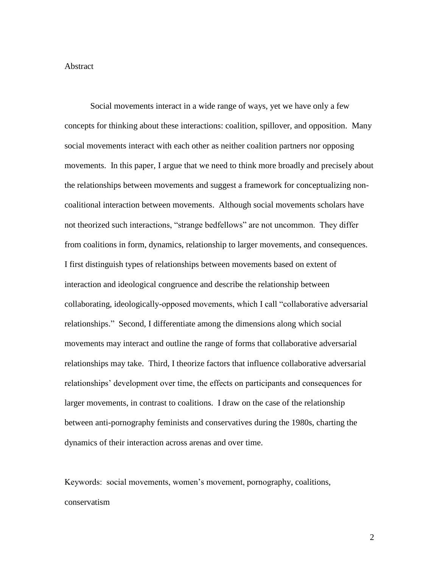### Abstract

Social movements interact in a wide range of ways, yet we have only a few concepts for thinking about these interactions: coalition, spillover, and opposition. Many social movements interact with each other as neither coalition partners nor opposing movements. In this paper, I argue that we need to think more broadly and precisely about the relationships between movements and suggest a framework for conceptualizing noncoalitional interaction between movements. Although social movements scholars have not theorized such interactions, "strange bedfellows" are not uncommon. They differ from coalitions in form, dynamics, relationship to larger movements, and consequences. I first distinguish types of relationships between movements based on extent of interaction and ideological congruence and describe the relationship between collaborating, ideologically-opposed movements, which I call "collaborative adversarial relationships." Second, I differentiate among the dimensions along which social movements may interact and outline the range of forms that collaborative adversarial relationships may take. Third, I theorize factors that influence collaborative adversarial relationships' development over time, the effects on participants and consequences for larger movements, in contrast to coalitions. I draw on the case of the relationship between anti-pornography feminists and conservatives during the 1980s, charting the dynamics of their interaction across arenas and over time.

Keywords: social movements, women's movement, pornography, coalitions, conservatism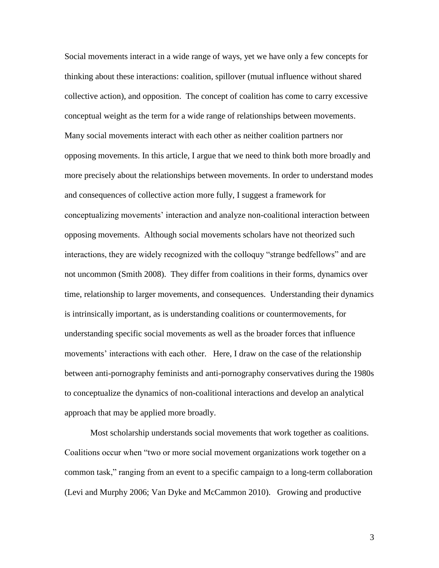Social movements interact in a wide range of ways, yet we have only a few concepts for thinking about these interactions: coalition, spillover (mutual influence without shared collective action), and opposition. The concept of coalition has come to carry excessive conceptual weight as the term for a wide range of relationships between movements. Many social movements interact with each other as neither coalition partners nor opposing movements. In this article, I argue that we need to think both more broadly and more precisely about the relationships between movements. In order to understand modes and consequences of collective action more fully, I suggest a framework for conceptualizing movements' interaction and analyze non-coalitional interaction between opposing movements. Although social movements scholars have not theorized such interactions, they are widely recognized with the colloquy "strange bedfellows" and are not uncommon (Smith 2008). They differ from coalitions in their forms, dynamics over time, relationship to larger movements, and consequences. Understanding their dynamics is intrinsically important, as is understanding coalitions or countermovements, for understanding specific social movements as well as the broader forces that influence movements' interactions with each other. Here, I draw on the case of the relationship between anti-pornography feminists and anti-pornography conservatives during the 1980s to conceptualize the dynamics of non-coalitional interactions and develop an analytical approach that may be applied more broadly.

Most scholarship understands social movements that work together as coalitions. Coalitions occur when "two or more social movement organizations work together on a common task," ranging from an event to a specific campaign to a long-term collaboration (Levi and Murphy 2006; Van Dyke and McCammon 2010). Growing and productive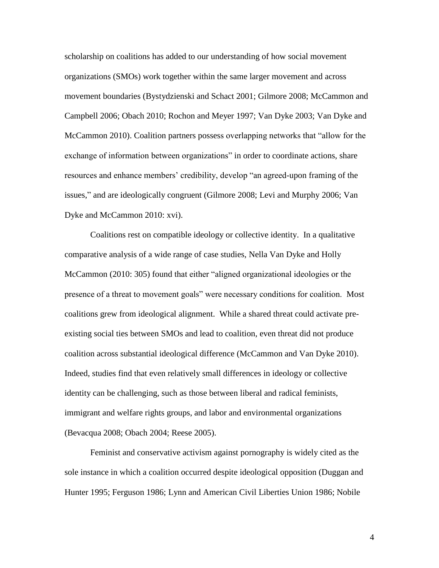scholarship on coalitions has added to our understanding of how social movement organizations (SMOs) work together within the same larger movement and across movement boundaries (Bystydzienski and Schact 2001; Gilmore 2008; McCammon and Campbell 2006; Obach 2010; Rochon and Meyer 1997; Van Dyke 2003; Van Dyke and McCammon 2010). Coalition partners possess overlapping networks that "allow for the exchange of information between organizations" in order to coordinate actions, share resources and enhance members' credibility, develop "an agreed-upon framing of the issues," and are ideologically congruent (Gilmore 2008; Levi and Murphy 2006; Van Dyke and McCammon 2010: xvi).

Coalitions rest on compatible ideology or collective identity. In a qualitative comparative analysis of a wide range of case studies, Nella Van Dyke and Holly McCammon (2010: 305) found that either "aligned organizational ideologies or the presence of a threat to movement goals" were necessary conditions for coalition. Most coalitions grew from ideological alignment. While a shared threat could activate preexisting social ties between SMOs and lead to coalition, even threat did not produce coalition across substantial ideological difference (McCammon and Van Dyke 2010). Indeed, studies find that even relatively small differences in ideology or collective identity can be challenging, such as those between liberal and radical feminists, immigrant and welfare rights groups, and labor and environmental organizations (Bevacqua 2008; Obach 2004; Reese 2005).

Feminist and conservative activism against pornography is widely cited as the sole instance in which a coalition occurred despite ideological opposition (Duggan and Hunter 1995; Ferguson 1986; Lynn and American Civil Liberties Union 1986; Nobile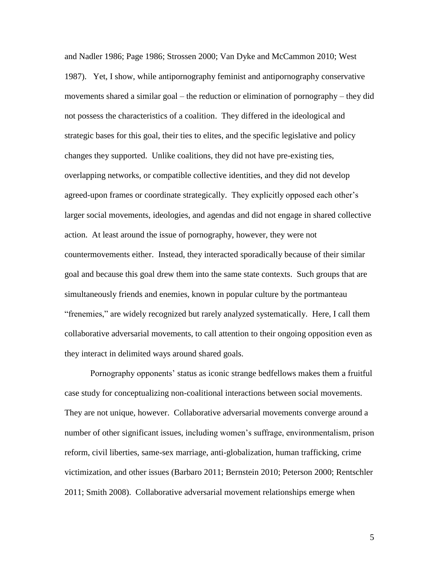and Nadler 1986; Page 1986; Strossen 2000; Van Dyke and McCammon 2010; West 1987). Yet, I show, while antipornography feminist and antipornography conservative movements shared a similar goal – the reduction or elimination of pornography – they did not possess the characteristics of a coalition. They differed in the ideological and strategic bases for this goal, their ties to elites, and the specific legislative and policy changes they supported. Unlike coalitions, they did not have pre-existing ties, overlapping networks, or compatible collective identities, and they did not develop agreed-upon frames or coordinate strategically. They explicitly opposed each other's larger social movements, ideologies, and agendas and did not engage in shared collective action. At least around the issue of pornography, however, they were not countermovements either. Instead, they interacted sporadically because of their similar goal and because this goal drew them into the same state contexts. Such groups that are simultaneously friends and enemies, known in popular culture by the portmanteau "frenemies," are widely recognized but rarely analyzed systematically. Here, I call them collaborative adversarial movements, to call attention to their ongoing opposition even as they interact in delimited ways around shared goals.

Pornography opponents' status as iconic strange bedfellows makes them a fruitful case study for conceptualizing non-coalitional interactions between social movements. They are not unique, however. Collaborative adversarial movements converge around a number of other significant issues, including women's suffrage, environmentalism, prison reform, civil liberties, same-sex marriage, anti-globalization, human trafficking, crime victimization, and other issues (Barbaro 2011; Bernstein 2010; Peterson 2000; Rentschler 2011; Smith 2008). Collaborative adversarial movement relationships emerge when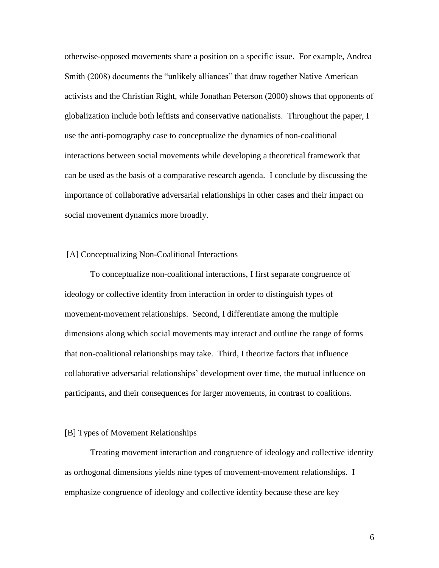otherwise-opposed movements share a position on a specific issue. For example, Andrea Smith (2008) documents the "unlikely alliances" that draw together Native American activists and the Christian Right, while Jonathan Peterson (2000) shows that opponents of globalization include both leftists and conservative nationalists. Throughout the paper, I use the anti-pornography case to conceptualize the dynamics of non-coalitional interactions between social movements while developing a theoretical framework that can be used as the basis of a comparative research agenda. I conclude by discussing the importance of collaborative adversarial relationships in other cases and their impact on social movement dynamics more broadly.

#### [A] Conceptualizing Non-Coalitional Interactions

To conceptualize non-coalitional interactions, I first separate congruence of ideology or collective identity from interaction in order to distinguish types of movement-movement relationships. Second, I differentiate among the multiple dimensions along which social movements may interact and outline the range of forms that non-coalitional relationships may take. Third, I theorize factors that influence collaborative adversarial relationships' development over time, the mutual influence on participants, and their consequences for larger movements, in contrast to coalitions.

#### [B] Types of Movement Relationships

Treating movement interaction and congruence of ideology and collective identity as orthogonal dimensions yields nine types of movement-movement relationships. I emphasize congruence of ideology and collective identity because these are key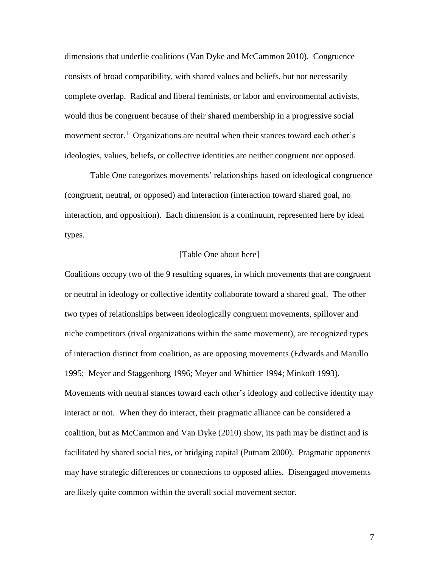dimensions that underlie coalitions (Van Dyke and McCammon 2010). Congruence consists of broad compatibility, with shared values and beliefs, but not necessarily complete overlap. Radical and liberal feminists, or labor and environmental activists, would thus be congruent because of their shared membership in a progressive social movement sector.<sup>1</sup> Organizations are neutral when their stances toward each other's ideologies, values, beliefs, or collective identities are neither congruent nor opposed.

Table One categorizes movements' relationships based on ideological congruence (congruent, neutral, or opposed) and interaction (interaction toward shared goal, no interaction, and opposition). Each dimension is a continuum, represented here by ideal types.

### [Table One about here]

Coalitions occupy two of the 9 resulting squares, in which movements that are congruent or neutral in ideology or collective identity collaborate toward a shared goal. The other two types of relationships between ideologically congruent movements, spillover and niche competitors (rival organizations within the same movement), are recognized types of interaction distinct from coalition, as are opposing movements (Edwards and Marullo 1995; Meyer and Staggenborg 1996; Meyer and Whittier 1994; Minkoff 1993). Movements with neutral stances toward each other's ideology and collective identity may interact or not. When they do interact, their pragmatic alliance can be considered a coalition, but as McCammon and Van Dyke (2010) show, its path may be distinct and is facilitated by shared social ties, or bridging capital (Putnam 2000). Pragmatic opponents may have strategic differences or connections to opposed allies. Disengaged movements are likely quite common within the overall social movement sector.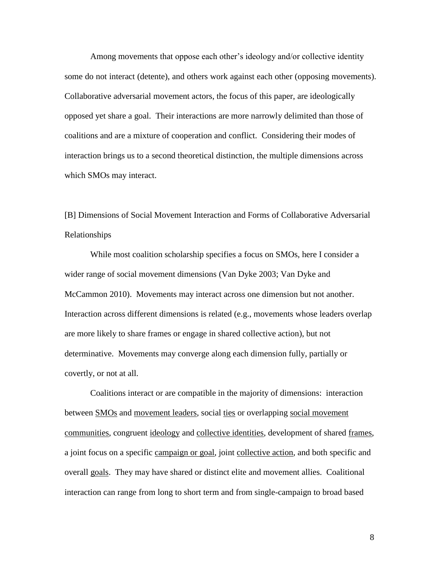Among movements that oppose each other's ideology and/or collective identity some do not interact (detente), and others work against each other (opposing movements). Collaborative adversarial movement actors, the focus of this paper, are ideologically opposed yet share a goal. Their interactions are more narrowly delimited than those of coalitions and are a mixture of cooperation and conflict. Considering their modes of interaction brings us to a second theoretical distinction, the multiple dimensions across which SMOs may interact.

[B] Dimensions of Social Movement Interaction and Forms of Collaborative Adversarial Relationships

While most coalition scholarship specifies a focus on SMOs, here I consider a wider range of social movement dimensions (Van Dyke 2003; Van Dyke and McCammon 2010). Movements may interact across one dimension but not another. Interaction across different dimensions is related (e.g., movements whose leaders overlap are more likely to share frames or engage in shared collective action), but not determinative. Movements may converge along each dimension fully, partially or covertly, or not at all.

Coalitions interact or are compatible in the majority of dimensions: interaction between **SMOs** and movement leaders, social ties or overlapping social movement communities, congruent ideology and collective identities, development of shared frames, a joint focus on a specific campaign or goal, joint collective action, and both specific and overall goals. They may have shared or distinct elite and movement allies. Coalitional interaction can range from long to short term and from single-campaign to broad based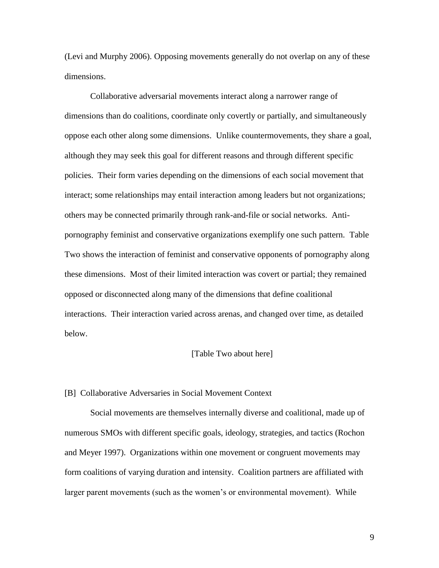(Levi and Murphy 2006). Opposing movements generally do not overlap on any of these dimensions.

Collaborative adversarial movements interact along a narrower range of dimensions than do coalitions, coordinate only covertly or partially, and simultaneously oppose each other along some dimensions. Unlike countermovements, they share a goal, although they may seek this goal for different reasons and through different specific policies. Their form varies depending on the dimensions of each social movement that interact; some relationships may entail interaction among leaders but not organizations; others may be connected primarily through rank-and-file or social networks. Antipornography feminist and conservative organizations exemplify one such pattern. Table Two shows the interaction of feminist and conservative opponents of pornography along these dimensions. Most of their limited interaction was covert or partial; they remained opposed or disconnected along many of the dimensions that define coalitional interactions. Their interaction varied across arenas, and changed over time, as detailed below.

#### [Table Two about here]

#### [B] Collaborative Adversaries in Social Movement Context

Social movements are themselves internally diverse and coalitional, made up of numerous SMOs with different specific goals, ideology, strategies, and tactics (Rochon and Meyer 1997). Organizations within one movement or congruent movements may form coalitions of varying duration and intensity. Coalition partners are affiliated with larger parent movements (such as the women's or environmental movement). While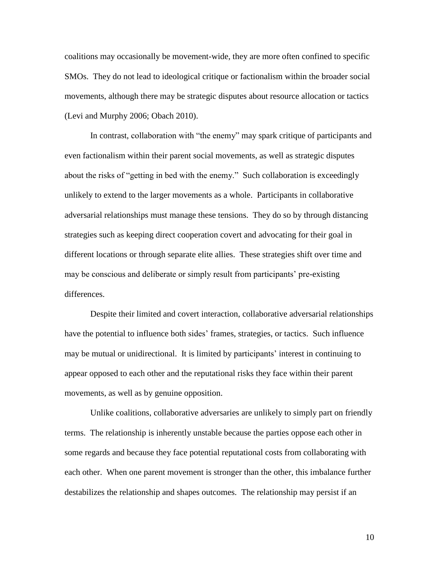coalitions may occasionally be movement-wide, they are more often confined to specific SMOs. They do not lead to ideological critique or factionalism within the broader social movements, although there may be strategic disputes about resource allocation or tactics (Levi and Murphy 2006; Obach 2010).

In contrast, collaboration with "the enemy" may spark critique of participants and even factionalism within their parent social movements, as well as strategic disputes about the risks of "getting in bed with the enemy." Such collaboration is exceedingly unlikely to extend to the larger movements as a whole. Participants in collaborative adversarial relationships must manage these tensions. They do so by through distancing strategies such as keeping direct cooperation covert and advocating for their goal in different locations or through separate elite allies. These strategies shift over time and may be conscious and deliberate or simply result from participants' pre-existing differences.

Despite their limited and covert interaction, collaborative adversarial relationships have the potential to influence both sides' frames, strategies, or tactics. Such influence may be mutual or unidirectional. It is limited by participants' interest in continuing to appear opposed to each other and the reputational risks they face within their parent movements, as well as by genuine opposition.

Unlike coalitions, collaborative adversaries are unlikely to simply part on friendly terms. The relationship is inherently unstable because the parties oppose each other in some regards and because they face potential reputational costs from collaborating with each other. When one parent movement is stronger than the other, this imbalance further destabilizes the relationship and shapes outcomes. The relationship may persist if an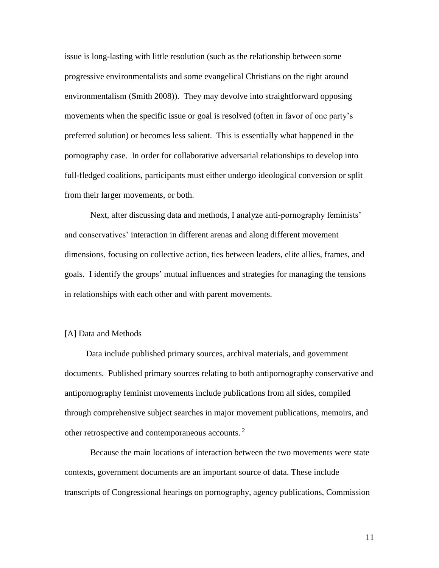issue is long-lasting with little resolution (such as the relationship between some progressive environmentalists and some evangelical Christians on the right around environmentalism (Smith 2008)). They may devolve into straightforward opposing movements when the specific issue or goal is resolved (often in favor of one party's preferred solution) or becomes less salient. This is essentially what happened in the pornography case. In order for collaborative adversarial relationships to develop into full-fledged coalitions, participants must either undergo ideological conversion or split from their larger movements, or both.

Next, after discussing data and methods, I analyze anti-pornography feminists' and conservatives' interaction in different arenas and along different movement dimensions, focusing on collective action, ties between leaders, elite allies, frames, and goals. I identify the groups' mutual influences and strategies for managing the tensions in relationships with each other and with parent movements.

## [A] Data and Methods

Data include published primary sources, archival materials, and government documents. Published primary sources relating to both antipornography conservative and antipornography feminist movements include publications from all sides, compiled through comprehensive subject searches in major movement publications, memoirs, and other retrospective and contemporaneous accounts.<sup>2</sup>

Because the main locations of interaction between the two movements were state contexts, government documents are an important source of data. These include transcripts of Congressional hearings on pornography, agency publications, Commission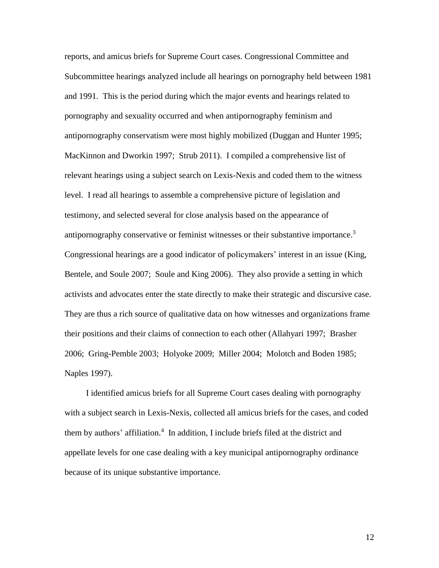reports, and amicus briefs for Supreme Court cases. Congressional Committee and Subcommittee hearings analyzed include all hearings on pornography held between 1981 and 1991. This is the period during which the major events and hearings related to pornography and sexuality occurred and when antipornography feminism and antipornography conservatism were most highly mobilized (Duggan and Hunter 1995; MacKinnon and Dworkin 1997; Strub 2011). I compiled a comprehensive list of relevant hearings using a subject search on Lexis-Nexis and coded them to the witness level. I read all hearings to assemble a comprehensive picture of legislation and testimony, and selected several for close analysis based on the appearance of antipornography conservative or feminist witnesses or their substantive importance.<sup>3</sup> Congressional hearings are a good indicator of policymakers' interest in an issue (King, Bentele, and Soule 2007; Soule and King 2006). They also provide a setting in which activists and advocates enter the state directly to make their strategic and discursive case. They are thus a rich source of qualitative data on how witnesses and organizations frame their positions and their claims of connection to each other (Allahyari 1997; Brasher 2006; Gring-Pemble 2003; Holyoke 2009; Miller 2004; Molotch and Boden 1985; Naples 1997).

I identified amicus briefs for all Supreme Court cases dealing with pornography with a subject search in Lexis-Nexis, collected all amicus briefs for the cases, and coded them by authors' affiliation.<sup>4</sup> In addition, I include briefs filed at the district and appellate levels for one case dealing with a key municipal antipornography ordinance because of its unique substantive importance.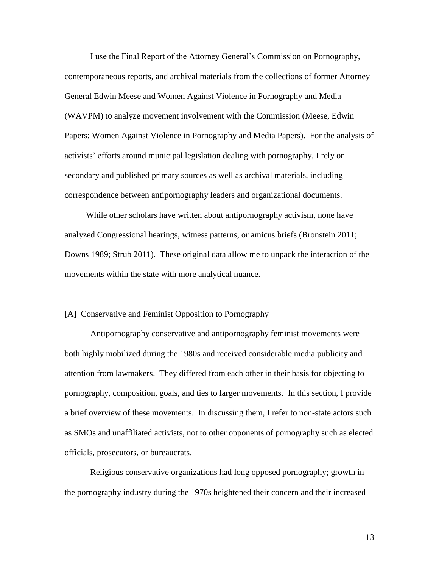I use the Final Report of the Attorney General's Commission on Pornography, contemporaneous reports, and archival materials from the collections of former Attorney General Edwin Meese and Women Against Violence in Pornography and Media (WAVPM) to analyze movement involvement with the Commission (Meese, Edwin Papers; Women Against Violence in Pornography and Media Papers). For the analysis of activists' efforts around municipal legislation dealing with pornography, I rely on secondary and published primary sources as well as archival materials, including correspondence between antipornography leaders and organizational documents.

While other scholars have written about antipornography activism, none have analyzed Congressional hearings, witness patterns, or amicus briefs (Bronstein 2011; Downs 1989; Strub 2011). These original data allow me to unpack the interaction of the movements within the state with more analytical nuance.

#### [A] Conservative and Feminist Opposition to Pornography

Antipornography conservative and antipornography feminist movements were both highly mobilized during the 1980s and received considerable media publicity and attention from lawmakers. They differed from each other in their basis for objecting to pornography, composition, goals, and ties to larger movements. In this section, I provide a brief overview of these movements. In discussing them, I refer to non-state actors such as SMOs and unaffiliated activists, not to other opponents of pornography such as elected officials, prosecutors, or bureaucrats.

Religious conservative organizations had long opposed pornography; growth in the pornography industry during the 1970s heightened their concern and their increased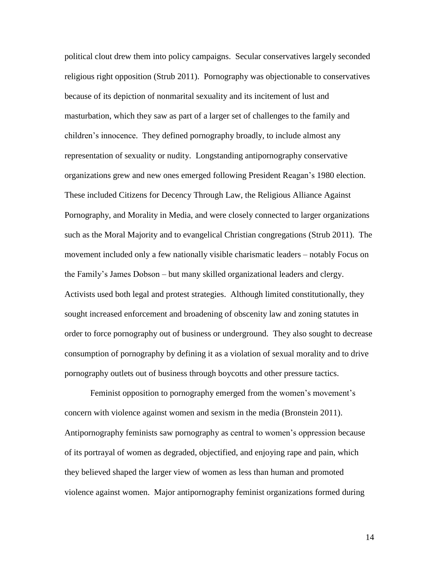political clout drew them into policy campaigns. Secular conservatives largely seconded religious right opposition (Strub 2011). Pornography was objectionable to conservatives because of its depiction of nonmarital sexuality and its incitement of lust and masturbation, which they saw as part of a larger set of challenges to the family and children's innocence. They defined pornography broadly, to include almost any representation of sexuality or nudity. Longstanding antipornography conservative organizations grew and new ones emerged following President Reagan's 1980 election. These included Citizens for Decency Through Law, the Religious Alliance Against Pornography, and Morality in Media, and were closely connected to larger organizations such as the Moral Majority and to evangelical Christian congregations (Strub 2011). The movement included only a few nationally visible charismatic leaders – notably Focus on the Family's James Dobson – but many skilled organizational leaders and clergy. Activists used both legal and protest strategies. Although limited constitutionally, they sought increased enforcement and broadening of obscenity law and zoning statutes in order to force pornography out of business or underground. They also sought to decrease consumption of pornography by defining it as a violation of sexual morality and to drive pornography outlets out of business through boycotts and other pressure tactics.

Feminist opposition to pornography emerged from the women's movement's concern with violence against women and sexism in the media (Bronstein 2011). Antipornography feminists saw pornography as central to women's oppression because of its portrayal of women as degraded, objectified, and enjoying rape and pain, which they believed shaped the larger view of women as less than human and promoted violence against women. Major antipornography feminist organizations formed during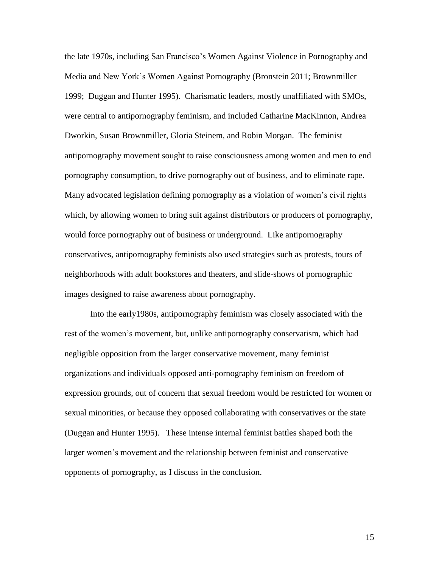the late 1970s, including San Francisco's Women Against Violence in Pornography and Media and New York's Women Against Pornography (Bronstein 2011; Brownmiller 1999; Duggan and Hunter 1995). Charismatic leaders, mostly unaffiliated with SMOs, were central to antipornography feminism, and included Catharine MacKinnon, Andrea Dworkin, Susan Brownmiller, Gloria Steinem, and Robin Morgan. The feminist antipornography movement sought to raise consciousness among women and men to end pornography consumption, to drive pornography out of business, and to eliminate rape. Many advocated legislation defining pornography as a violation of women's civil rights which, by allowing women to bring suit against distributors or producers of pornography, would force pornography out of business or underground. Like antipornography conservatives, antipornography feminists also used strategies such as protests, tours of neighborhoods with adult bookstores and theaters, and slide-shows of pornographic images designed to raise awareness about pornography.

Into the early1980s, antipornography feminism was closely associated with the rest of the women's movement, but, unlike antipornography conservatism, which had negligible opposition from the larger conservative movement, many feminist organizations and individuals opposed anti-pornography feminism on freedom of expression grounds, out of concern that sexual freedom would be restricted for women or sexual minorities, or because they opposed collaborating with conservatives or the state (Duggan and Hunter 1995). These intense internal feminist battles shaped both the larger women's movement and the relationship between feminist and conservative opponents of pornography, as I discuss in the conclusion.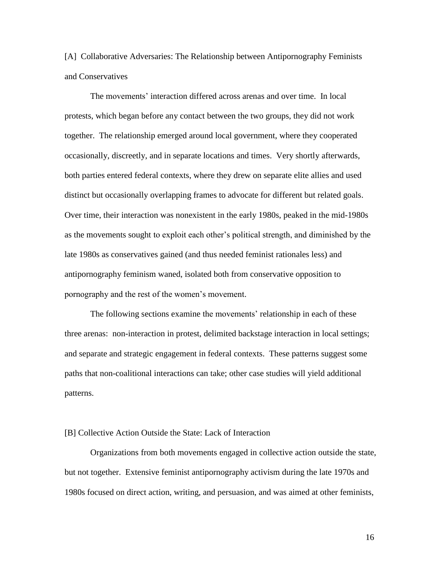[A] Collaborative Adversaries: The Relationship between Antipornography Feminists and Conservatives

The movements' interaction differed across arenas and over time. In local protests, which began before any contact between the two groups, they did not work together. The relationship emerged around local government, where they cooperated occasionally, discreetly, and in separate locations and times. Very shortly afterwards, both parties entered federal contexts, where they drew on separate elite allies and used distinct but occasionally overlapping frames to advocate for different but related goals. Over time, their interaction was nonexistent in the early 1980s, peaked in the mid-1980s as the movements sought to exploit each other's political strength, and diminished by the late 1980s as conservatives gained (and thus needed feminist rationales less) and antipornography feminism waned, isolated both from conservative opposition to pornography and the rest of the women's movement.

The following sections examine the movements' relationship in each of these three arenas: non-interaction in protest, delimited backstage interaction in local settings; and separate and strategic engagement in federal contexts. These patterns suggest some paths that non-coalitional interactions can take; other case studies will yield additional patterns.

## [B] Collective Action Outside the State: Lack of Interaction

Organizations from both movements engaged in collective action outside the state, but not together. Extensive feminist antipornography activism during the late 1970s and 1980s focused on direct action, writing, and persuasion, and was aimed at other feminists,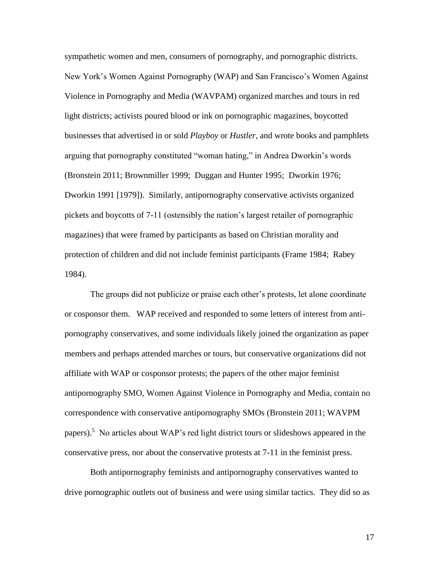sympathetic women and men, consumers of pornography, and pornographic districts. New York's Women Against Pornography (WAP) and San Francisco's Women Against Violence in Pornography and Media (WAVPAM) organized marches and tours in red light districts; activists poured blood or ink on pornographic magazines, boycotted businesses that advertised in or sold *Playboy* or *Hustler*, and wrote books and pamphlets arguing that pornography constituted "woman hating," in Andrea Dworkin's words (Bronstein 2011; Brownmiller 1999; Duggan and Hunter 1995; Dworkin 1976; Dworkin 1991 [1979]). Similarly, antipornography conservative activists organized pickets and boycotts of 7-11 (ostensibly the nation's largest retailer of pornographic magazines) that were framed by participants as based on Christian morality and protection of children and did not include feminist participants (Frame 1984; Rabey 1984).

The groups did not publicize or praise each other's protests, let alone coordinate or cosponsor them. WAP received and responded to some letters of interest from antipornography conservatives, and some individuals likely joined the organization as paper members and perhaps attended marches or tours, but conservative organizations did not affiliate with WAP or cosponsor protests; the papers of the other major feminist antipornography SMO, Women Against Violence in Pornography and Media, contain no correspondence with conservative antipornography SMOs (Bronstein 2011; WAVPM papers).<sup>5</sup> No articles about WAP's red light district tours or slideshows appeared in the conservative press, nor about the conservative protests at 7-11 in the feminist press.

Both antipornography feminists and antipornography conservatives wanted to drive pornographic outlets out of business and were using similar tactics. They did so as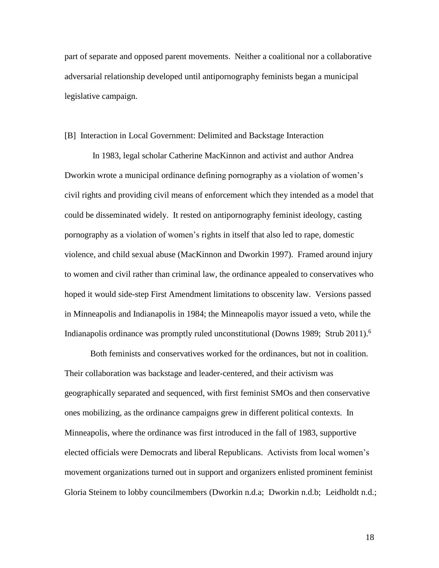part of separate and opposed parent movements. Neither a coalitional nor a collaborative adversarial relationship developed until antipornography feminists began a municipal legislative campaign.

### [B] Interaction in Local Government: Delimited and Backstage Interaction

In 1983, legal scholar Catherine MacKinnon and activist and author Andrea Dworkin wrote a municipal ordinance defining pornography as a violation of women's civil rights and providing civil means of enforcement which they intended as a model that could be disseminated widely. It rested on antipornography feminist ideology, casting pornography as a violation of women's rights in itself that also led to rape, domestic violence, and child sexual abuse (MacKinnon and Dworkin 1997). Framed around injury to women and civil rather than criminal law, the ordinance appealed to conservatives who hoped it would side-step First Amendment limitations to obscenity law. Versions passed in Minneapolis and Indianapolis in 1984; the Minneapolis mayor issued a veto, while the Indianapolis ordinance was promptly ruled unconstitutional (Downs 1989; Strub 2011). 6

Both feminists and conservatives worked for the ordinances, but not in coalition. Their collaboration was backstage and leader-centered, and their activism was geographically separated and sequenced, with first feminist SMOs and then conservative ones mobilizing, as the ordinance campaigns grew in different political contexts. In Minneapolis, where the ordinance was first introduced in the fall of 1983, supportive elected officials were Democrats and liberal Republicans. Activists from local women's movement organizations turned out in support and organizers enlisted prominent feminist Gloria Steinem to lobby councilmembers (Dworkin n.d.a; Dworkin n.d.b; Leidholdt n.d.;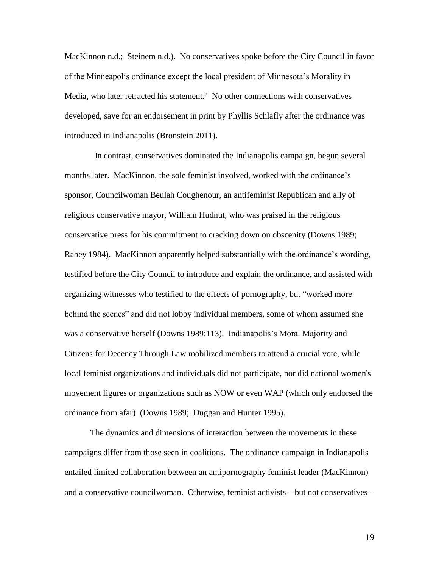MacKinnon n.d.; Steinem n.d.). No conservatives spoke before the City Council in favor of the Minneapolis ordinance except the local president of Minnesota's Morality in Media, who later retracted his statement.<sup>7</sup> No other connections with conservatives developed, save for an endorsement in print by Phyllis Schlafly after the ordinance was introduced in Indianapolis (Bronstein 2011).

 In contrast, conservatives dominated the Indianapolis campaign, begun several months later. MacKinnon, the sole feminist involved, worked with the ordinance's sponsor, Councilwoman Beulah Coughenour, an antifeminist Republican and ally of religious conservative mayor, William Hudnut, who was praised in the religious conservative press for his commitment to cracking down on obscenity (Downs 1989; Rabey 1984). MacKinnon apparently helped substantially with the ordinance's wording, testified before the City Council to introduce and explain the ordinance, and assisted with organizing witnesses who testified to the effects of pornography, but "worked more behind the scenes" and did not lobby individual members, some of whom assumed she was a conservative herself (Downs 1989:113). Indianapolis's Moral Majority and Citizens for Decency Through Law mobilized members to attend a crucial vote, while local feminist organizations and individuals did not participate, nor did national women's movement figures or organizations such as NOW or even WAP (which only endorsed the ordinance from afar) (Downs 1989; Duggan and Hunter 1995).

The dynamics and dimensions of interaction between the movements in these campaigns differ from those seen in coalitions. The ordinance campaign in Indianapolis entailed limited collaboration between an antipornography feminist leader (MacKinnon) and a conservative councilwoman. Otherwise, feminist activists – but not conservatives –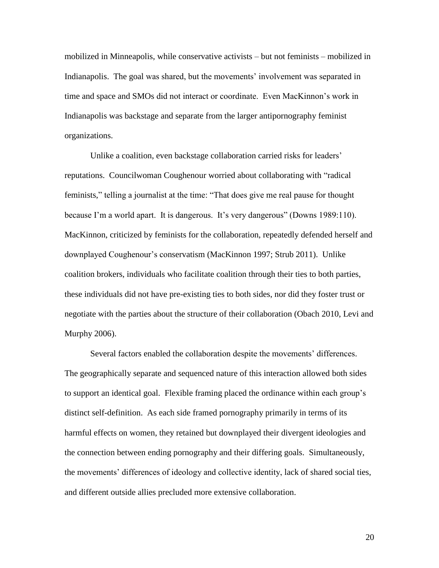mobilized in Minneapolis, while conservative activists – but not feminists – mobilized in Indianapolis. The goal was shared, but the movements' involvement was separated in time and space and SMOs did not interact or coordinate. Even MacKinnon's work in Indianapolis was backstage and separate from the larger antipornography feminist organizations.

Unlike a coalition, even backstage collaboration carried risks for leaders' reputations. Councilwoman Coughenour worried about collaborating with "radical feminists," telling a journalist at the time: "That does give me real pause for thought because I'm a world apart. It is dangerous. It's very dangerous" (Downs 1989:110). MacKinnon, criticized by feminists for the collaboration, repeatedly defended herself and downplayed Coughenour's conservatism (MacKinnon 1997; Strub 2011). Unlike coalition brokers, individuals who facilitate coalition through their ties to both parties, these individuals did not have pre-existing ties to both sides, nor did they foster trust or negotiate with the parties about the structure of their collaboration (Obach 2010, Levi and Murphy 2006).

Several factors enabled the collaboration despite the movements' differences. The geographically separate and sequenced nature of this interaction allowed both sides to support an identical goal. Flexible framing placed the ordinance within each group's distinct self-definition. As each side framed pornography primarily in terms of its harmful effects on women, they retained but downplayed their divergent ideologies and the connection between ending pornography and their differing goals. Simultaneously, the movements' differences of ideology and collective identity, lack of shared social ties, and different outside allies precluded more extensive collaboration.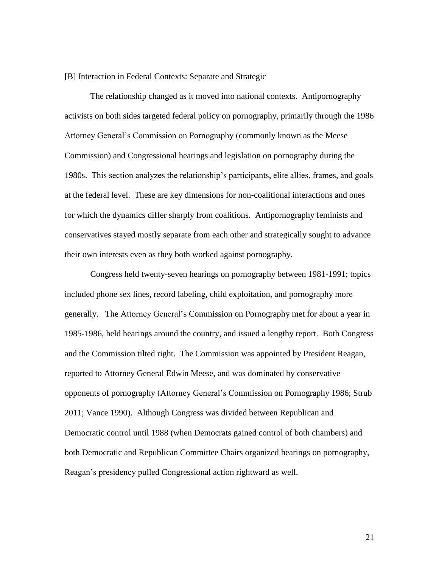#### [B] Interaction in Federal Contexts: Separate and Strategic

The relationship changed as it moved into national contexts. Antipornography activists on both sides targeted federal policy on pornography, primarily through the 1986 Attorney General's Commission on Pornography (commonly known as the Meese Commission) and Congressional hearings and legislation on pornography during the 1980s. This section analyzes the relationship's participants, elite allies, frames, and goals at the federal level. These are key dimensions for non-coalitional interactions and ones for which the dynamics differ sharply from coalitions. Antipornography feminists and conservatives stayed mostly separate from each other and strategically sought to advance their own interests even as they both worked against pornography.

Congress held twenty-seven hearings on pornography between 1981-1991; topics included phone sex lines, record labeling, child exploitation, and pornography more generally. The Attorney General's Commission on Pornography met for about a year in 1985-1986, held hearings around the country, and issued a lengthy report. Both Congress and the Commission tilted right. The Commission was appointed by President Reagan, reported to Attorney General Edwin Meese, and was dominated by conservative opponents of pornography (Attorney General's Commission on Pornography 1986; Strub 2011; Vance 1990). Although Congress was divided between Republican and Democratic control until 1988 (when Democrats gained control of both chambers) and both Democratic and Republican Committee Chairs organized hearings on pornography, Reagan's presidency pulled Congressional action rightward as well.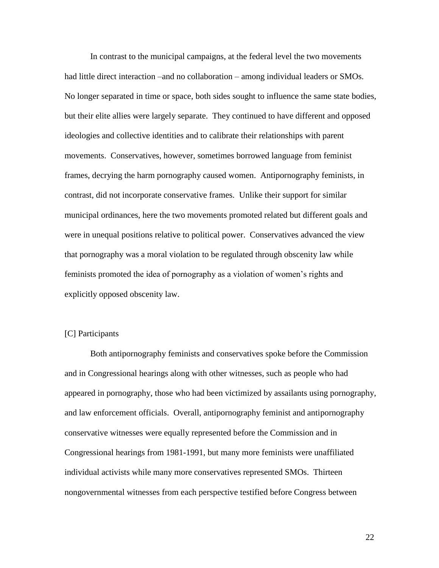In contrast to the municipal campaigns, at the federal level the two movements had little direct interaction –and no collaboration – among individual leaders or SMOs. No longer separated in time or space, both sides sought to influence the same state bodies, but their elite allies were largely separate. They continued to have different and opposed ideologies and collective identities and to calibrate their relationships with parent movements. Conservatives, however, sometimes borrowed language from feminist frames, decrying the harm pornography caused women. Antipornography feminists, in contrast, did not incorporate conservative frames. Unlike their support for similar municipal ordinances, here the two movements promoted related but different goals and were in unequal positions relative to political power. Conservatives advanced the view that pornography was a moral violation to be regulated through obscenity law while feminists promoted the idea of pornography as a violation of women's rights and explicitly opposed obscenity law.

## [C] Participants

Both antipornography feminists and conservatives spoke before the Commission and in Congressional hearings along with other witnesses, such as people who had appeared in pornography, those who had been victimized by assailants using pornography, and law enforcement officials. Overall, antipornography feminist and antipornography conservative witnesses were equally represented before the Commission and in Congressional hearings from 1981-1991, but many more feminists were unaffiliated individual activists while many more conservatives represented SMOs. Thirteen nongovernmental witnesses from each perspective testified before Congress between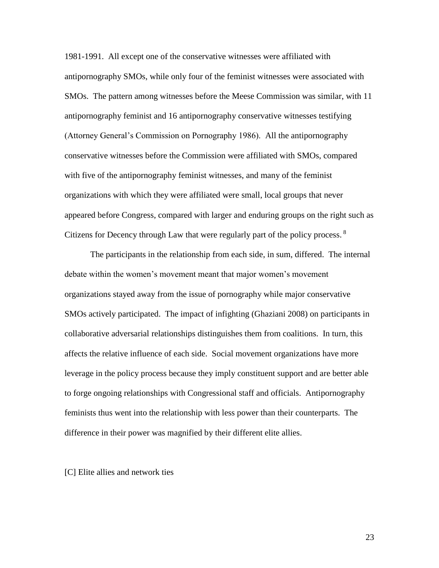1981-1991. All except one of the conservative witnesses were affiliated with antipornography SMOs, while only four of the feminist witnesses were associated with SMOs. The pattern among witnesses before the Meese Commission was similar, with 11 antipornography feminist and 16 antipornography conservative witnesses testifying (Attorney General's Commission on Pornography 1986). All the antipornography conservative witnesses before the Commission were affiliated with SMOs, compared with five of the antipornography feminist witnesses, and many of the feminist organizations with which they were affiliated were small, local groups that never appeared before Congress, compared with larger and enduring groups on the right such as Citizens for Decency through Law that were regularly part of the policy process.<sup>8</sup>

The participants in the relationship from each side, in sum, differed. The internal debate within the women's movement meant that major women's movement organizations stayed away from the issue of pornography while major conservative SMOs actively participated. The impact of infighting (Ghaziani 2008) on participants in collaborative adversarial relationships distinguishes them from coalitions. In turn, this affects the relative influence of each side. Social movement organizations have more leverage in the policy process because they imply constituent support and are better able to forge ongoing relationships with Congressional staff and officials. Antipornography feminists thus went into the relationship with less power than their counterparts. The difference in their power was magnified by their different elite allies.

[C] Elite allies and network ties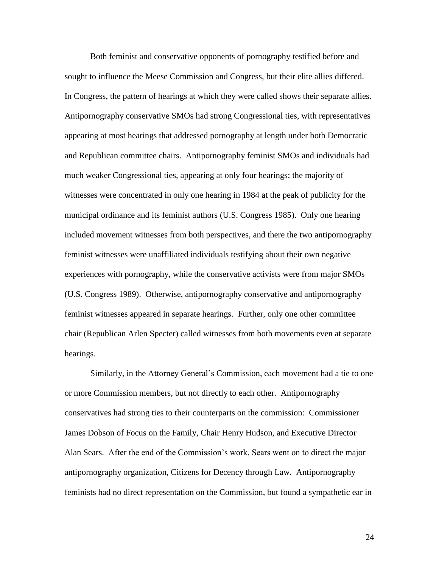Both feminist and conservative opponents of pornography testified before and sought to influence the Meese Commission and Congress, but their elite allies differed. In Congress, the pattern of hearings at which they were called shows their separate allies. Antipornography conservative SMOs had strong Congressional ties, with representatives appearing at most hearings that addressed pornography at length under both Democratic and Republican committee chairs. Antipornography feminist SMOs and individuals had much weaker Congressional ties, appearing at only four hearings; the majority of witnesses were concentrated in only one hearing in 1984 at the peak of publicity for the municipal ordinance and its feminist authors (U.S. Congress 1985). Only one hearing included movement witnesses from both perspectives, and there the two antipornography feminist witnesses were unaffiliated individuals testifying about their own negative experiences with pornography, while the conservative activists were from major SMOs (U.S. Congress 1989). Otherwise, antipornography conservative and antipornography feminist witnesses appeared in separate hearings. Further, only one other committee chair (Republican Arlen Specter) called witnesses from both movements even at separate hearings.

Similarly, in the Attorney General's Commission, each movement had a tie to one or more Commission members, but not directly to each other. Antipornography conservatives had strong ties to their counterparts on the commission: Commissioner James Dobson of Focus on the Family, Chair Henry Hudson, and Executive Director Alan Sears. After the end of the Commission's work, Sears went on to direct the major antipornography organization, Citizens for Decency through Law. Antipornography feminists had no direct representation on the Commission, but found a sympathetic ear in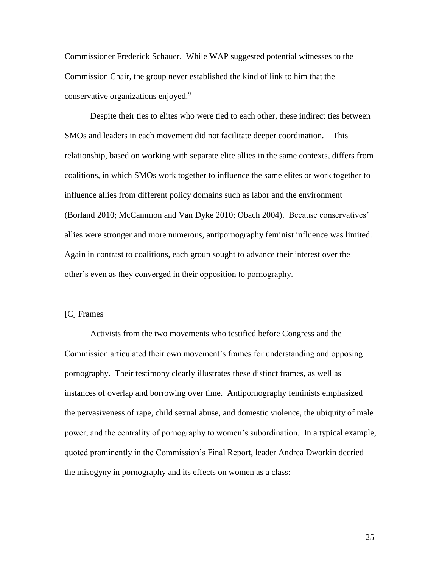Commissioner Frederick Schauer. While WAP suggested potential witnesses to the Commission Chair, the group never established the kind of link to him that the conservative organizations enjoyed.<sup>9</sup>

Despite their ties to elites who were tied to each other, these indirect ties between SMOs and leaders in each movement did not facilitate deeper coordination. This relationship, based on working with separate elite allies in the same contexts, differs from coalitions, in which SMOs work together to influence the same elites or work together to influence allies from different policy domains such as labor and the environment (Borland 2010; McCammon and Van Dyke 2010; Obach 2004). Because conservatives' allies were stronger and more numerous, antipornography feminist influence was limited. Again in contrast to coalitions, each group sought to advance their interest over the other's even as they converged in their opposition to pornography.

### [C] Frames

Activists from the two movements who testified before Congress and the Commission articulated their own movement's frames for understanding and opposing pornography. Their testimony clearly illustrates these distinct frames, as well as instances of overlap and borrowing over time. Antipornography feminists emphasized the pervasiveness of rape, child sexual abuse, and domestic violence, the ubiquity of male power, and the centrality of pornography to women's subordination. In a typical example, quoted prominently in the Commission's Final Report, leader Andrea Dworkin decried the misogyny in pornography and its effects on women as a class: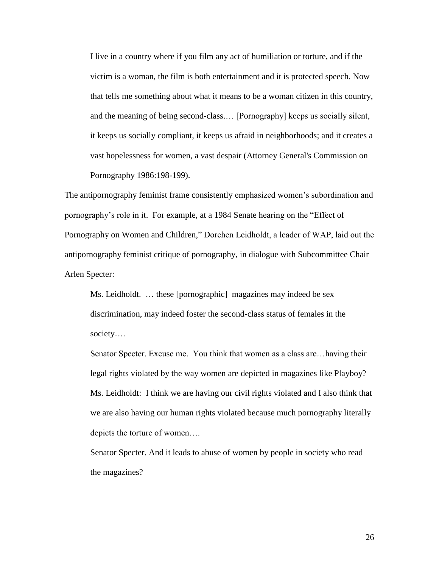I live in a country where if you film any act of humiliation or torture, and if the victim is a woman, the film is both entertainment and it is protected speech. Now that tells me something about what it means to be a woman citizen in this country, and the meaning of being second-class.… [Pornography] keeps us socially silent, it keeps us socially compliant, it keeps us afraid in neighborhoods; and it creates a vast hopelessness for women, a vast despair (Attorney General's Commission on Pornography 1986:198-199).

The antipornography feminist frame consistently emphasized women's subordination and pornography's role in it. For example, at a 1984 Senate hearing on the "Effect of Pornography on Women and Children," Dorchen Leidholdt, a leader of WAP, laid out the antipornography feminist critique of pornography, in dialogue with Subcommittee Chair Arlen Specter:

Ms. Leidholdt. … these [pornographic] magazines may indeed be sex discrimination, may indeed foster the second-class status of females in the society….

Senator Specter. Excuse me. You think that women as a class are…having their legal rights violated by the way women are depicted in magazines like Playboy? Ms. Leidholdt: I think we are having our civil rights violated and I also think that we are also having our human rights violated because much pornography literally depicts the torture of women….

Senator Specter. And it leads to abuse of women by people in society who read the magazines?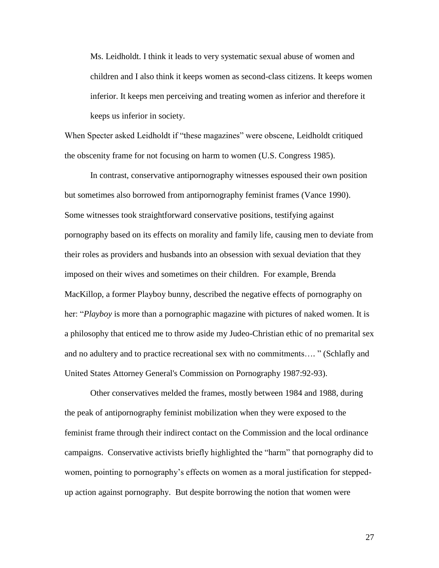Ms. Leidholdt. I think it leads to very systematic sexual abuse of women and children and I also think it keeps women as second-class citizens. It keeps women inferior. It keeps men perceiving and treating women as inferior and therefore it keeps us inferior in society.

When Specter asked Leidholdt if "these magazines" were obscene, Leidholdt critiqued the obscenity frame for not focusing on harm to women (U.S. Congress 1985).

In contrast, conservative antipornography witnesses espoused their own position but sometimes also borrowed from antipornography feminist frames (Vance 1990). Some witnesses took straightforward conservative positions, testifying against pornography based on its effects on morality and family life, causing men to deviate from their roles as providers and husbands into an obsession with sexual deviation that they imposed on their wives and sometimes on their children. For example, Brenda MacKillop, a former Playboy bunny, described the negative effects of pornography on her: "*Playboy* is more than a pornographic magazine with pictures of naked women. It is a philosophy that enticed me to throw aside my Judeo-Christian ethic of no premarital sex and no adultery and to practice recreational sex with no commitments…. " (Schlafly and United States Attorney General's Commission on Pornography 1987:92-93).

Other conservatives melded the frames, mostly between 1984 and 1988, during the peak of antipornography feminist mobilization when they were exposed to the feminist frame through their indirect contact on the Commission and the local ordinance campaigns. Conservative activists briefly highlighted the "harm" that pornography did to women, pointing to pornography's effects on women as a moral justification for steppedup action against pornography. But despite borrowing the notion that women were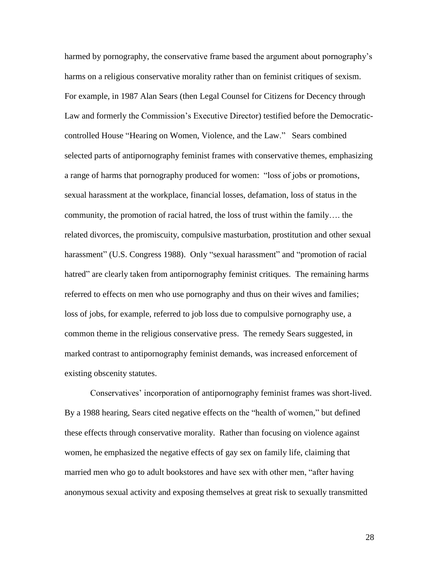harmed by pornography, the conservative frame based the argument about pornography's harms on a religious conservative morality rather than on feminist critiques of sexism. For example, in 1987 Alan Sears (then Legal Counsel for Citizens for Decency through Law and formerly the Commission's Executive Director) testified before the Democraticcontrolled House "Hearing on Women, Violence, and the Law." Sears combined selected parts of antipornography feminist frames with conservative themes, emphasizing a range of harms that pornography produced for women: "loss of jobs or promotions, sexual harassment at the workplace, financial losses, defamation, loss of status in the community, the promotion of racial hatred, the loss of trust within the family…. the related divorces, the promiscuity, compulsive masturbation, prostitution and other sexual harassment" (U.S. Congress 1988). Only "sexual harassment" and "promotion of racial hatred" are clearly taken from antipornography feminist critiques. The remaining harms referred to effects on men who use pornography and thus on their wives and families; loss of jobs, for example, referred to job loss due to compulsive pornography use, a common theme in the religious conservative press. The remedy Sears suggested, in marked contrast to antipornography feminist demands, was increased enforcement of existing obscenity statutes.

Conservatives' incorporation of antipornography feminist frames was short-lived. By a 1988 hearing, Sears cited negative effects on the "health of women," but defined these effects through conservative morality. Rather than focusing on violence against women, he emphasized the negative effects of gay sex on family life, claiming that married men who go to adult bookstores and have sex with other men, "after having anonymous sexual activity and exposing themselves at great risk to sexually transmitted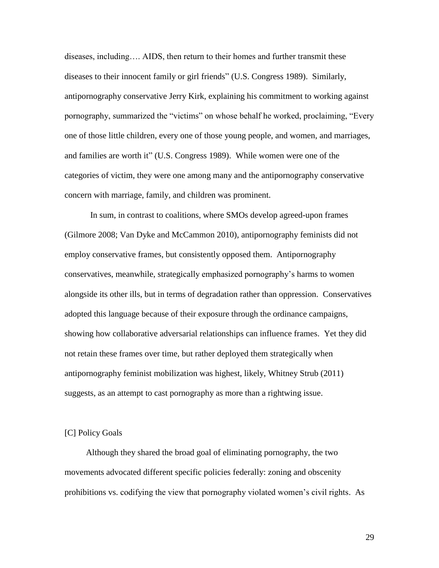diseases, including…. AIDS, then return to their homes and further transmit these diseases to their innocent family or girl friends" (U.S. Congress 1989). Similarly, antipornography conservative Jerry Kirk, explaining his commitment to working against pornography, summarized the "victims" on whose behalf he worked, proclaiming, "Every one of those little children, every one of those young people, and women, and marriages, and families are worth it" (U.S. Congress 1989). While women were one of the categories of victim, they were one among many and the antipornography conservative concern with marriage, family, and children was prominent.

In sum, in contrast to coalitions, where SMOs develop agreed-upon frames (Gilmore 2008; Van Dyke and McCammon 2010), antipornography feminists did not employ conservative frames, but consistently opposed them. Antipornography conservatives, meanwhile, strategically emphasized pornography's harms to women alongside its other ills, but in terms of degradation rather than oppression. Conservatives adopted this language because of their exposure through the ordinance campaigns, showing how collaborative adversarial relationships can influence frames. Yet they did not retain these frames over time, but rather deployed them strategically when antipornography feminist mobilization was highest, likely, Whitney Strub (2011) suggests, as an attempt to cast pornography as more than a rightwing issue.

## [C] Policy Goals

Although they shared the broad goal of eliminating pornography, the two movements advocated different specific policies federally: zoning and obscenity prohibitions vs. codifying the view that pornography violated women's civil rights. As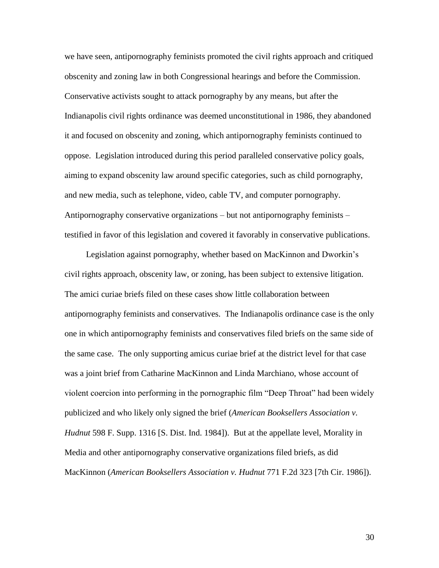we have seen, antipornography feminists promoted the civil rights approach and critiqued obscenity and zoning law in both Congressional hearings and before the Commission. Conservative activists sought to attack pornography by any means, but after the Indianapolis civil rights ordinance was deemed unconstitutional in 1986, they abandoned it and focused on obscenity and zoning, which antipornography feminists continued to oppose. Legislation introduced during this period paralleled conservative policy goals, aiming to expand obscenity law around specific categories, such as child pornography, and new media, such as telephone, video, cable TV, and computer pornography. Antipornography conservative organizations – but not antipornography feminists – testified in favor of this legislation and covered it favorably in conservative publications.

Legislation against pornography, whether based on MacKinnon and Dworkin's civil rights approach, obscenity law, or zoning, has been subject to extensive litigation. The amici curiae briefs filed on these cases show little collaboration between antipornography feminists and conservatives. The Indianapolis ordinance case is the only one in which antipornography feminists and conservatives filed briefs on the same side of the same case. The only supporting amicus curiae brief at the district level for that case was a joint brief from Catharine MacKinnon and Linda Marchiano, whose account of violent coercion into performing in the pornographic film "Deep Throat" had been widely publicized and who likely only signed the brief (*American Booksellers Association v. Hudnut* 598 F. Supp. 1316 [S. Dist. Ind. 1984]). But at the appellate level, Morality in Media and other antipornography conservative organizations filed briefs, as did MacKinnon (*American Booksellers Association v. Hudnut* 771 F.2d 323 [7th Cir. 1986]).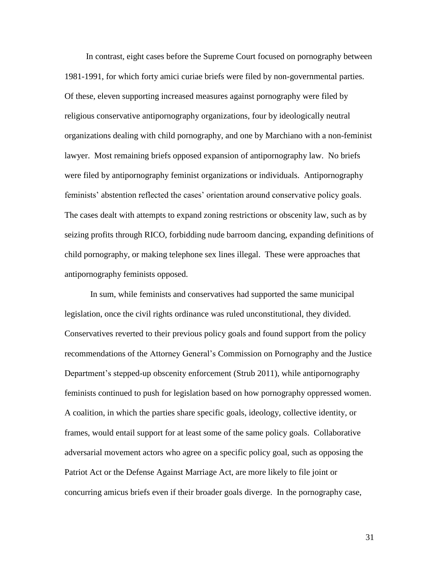In contrast, eight cases before the Supreme Court focused on pornography between 1981-1991, for which forty amici curiae briefs were filed by non-governmental parties. Of these, eleven supporting increased measures against pornography were filed by religious conservative antipornography organizations, four by ideologically neutral organizations dealing with child pornography, and one by Marchiano with a non-feminist lawyer. Most remaining briefs opposed expansion of antipornography law. No briefs were filed by antipornography feminist organizations or individuals. Antipornography feminists' abstention reflected the cases' orientation around conservative policy goals. The cases dealt with attempts to expand zoning restrictions or obscenity law, such as by seizing profits through RICO, forbidding nude barroom dancing, expanding definitions of child pornography, or making telephone sex lines illegal. These were approaches that antipornography feminists opposed.

In sum, while feminists and conservatives had supported the same municipal legislation, once the civil rights ordinance was ruled unconstitutional, they divided. Conservatives reverted to their previous policy goals and found support from the policy recommendations of the Attorney General's Commission on Pornography and the Justice Department's stepped-up obscenity enforcement (Strub 2011), while antipornography feminists continued to push for legislation based on how pornography oppressed women. A coalition, in which the parties share specific goals, ideology, collective identity, or frames, would entail support for at least some of the same policy goals. Collaborative adversarial movement actors who agree on a specific policy goal, such as opposing the Patriot Act or the Defense Against Marriage Act, are more likely to file joint or concurring amicus briefs even if their broader goals diverge. In the pornography case,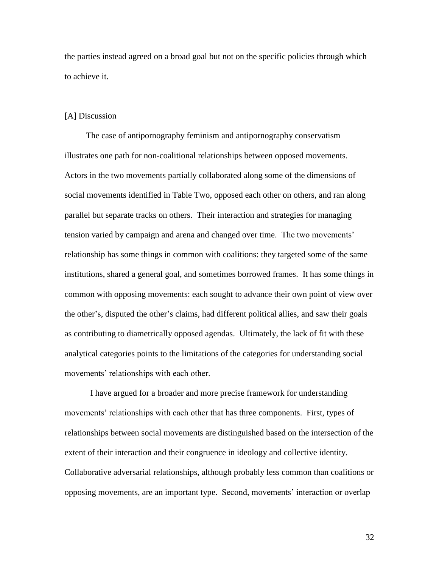the parties instead agreed on a broad goal but not on the specific policies through which to achieve it.

### [A] Discussion

The case of antipornography feminism and antipornography conservatism illustrates one path for non-coalitional relationships between opposed movements. Actors in the two movements partially collaborated along some of the dimensions of social movements identified in Table Two, opposed each other on others, and ran along parallel but separate tracks on others. Their interaction and strategies for managing tension varied by campaign and arena and changed over time. The two movements' relationship has some things in common with coalitions: they targeted some of the same institutions, shared a general goal, and sometimes borrowed frames. It has some things in common with opposing movements: each sought to advance their own point of view over the other's, disputed the other's claims, had different political allies, and saw their goals as contributing to diametrically opposed agendas. Ultimately, the lack of fit with these analytical categories points to the limitations of the categories for understanding social movements' relationships with each other.

I have argued for a broader and more precise framework for understanding movements' relationships with each other that has three components. First, types of relationships between social movements are distinguished based on the intersection of the extent of their interaction and their congruence in ideology and collective identity. Collaborative adversarial relationships, although probably less common than coalitions or opposing movements, are an important type. Second, movements' interaction or overlap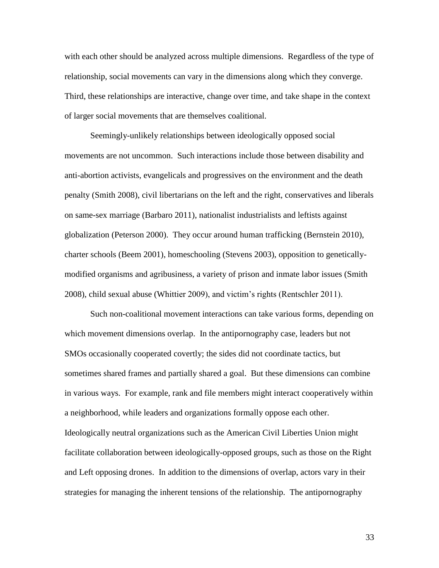with each other should be analyzed across multiple dimensions. Regardless of the type of relationship, social movements can vary in the dimensions along which they converge. Third, these relationships are interactive, change over time, and take shape in the context of larger social movements that are themselves coalitional.

Seemingly-unlikely relationships between ideologically opposed social movements are not uncommon. Such interactions include those between disability and anti-abortion activists, evangelicals and progressives on the environment and the death penalty (Smith 2008), civil libertarians on the left and the right, conservatives and liberals on same-sex marriage (Barbaro 2011), nationalist industrialists and leftists against globalization (Peterson 2000). They occur around human trafficking (Bernstein 2010), charter schools (Beem 2001), homeschooling (Stevens 2003), opposition to geneticallymodified organisms and agribusiness, a variety of prison and inmate labor issues (Smith 2008), child sexual abuse (Whittier 2009), and victim's rights (Rentschler 2011).

Such non-coalitional movement interactions can take various forms, depending on which movement dimensions overlap. In the antipornography case, leaders but not SMOs occasionally cooperated covertly; the sides did not coordinate tactics, but sometimes shared frames and partially shared a goal. But these dimensions can combine in various ways. For example, rank and file members might interact cooperatively within a neighborhood, while leaders and organizations formally oppose each other. Ideologically neutral organizations such as the American Civil Liberties Union might facilitate collaboration between ideologically-opposed groups, such as those on the Right and Left opposing drones. In addition to the dimensions of overlap, actors vary in their strategies for managing the inherent tensions of the relationship. The antipornography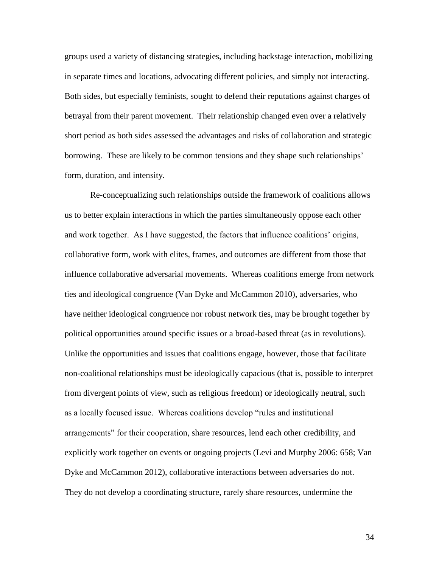groups used a variety of distancing strategies, including backstage interaction, mobilizing in separate times and locations, advocating different policies, and simply not interacting. Both sides, but especially feminists, sought to defend their reputations against charges of betrayal from their parent movement. Their relationship changed even over a relatively short period as both sides assessed the advantages and risks of collaboration and strategic borrowing. These are likely to be common tensions and they shape such relationships' form, duration, and intensity.

Re-conceptualizing such relationships outside the framework of coalitions allows us to better explain interactions in which the parties simultaneously oppose each other and work together. As I have suggested, the factors that influence coalitions' origins, collaborative form, work with elites, frames, and outcomes are different from those that influence collaborative adversarial movements. Whereas coalitions emerge from network ties and ideological congruence (Van Dyke and McCammon 2010), adversaries, who have neither ideological congruence nor robust network ties, may be brought together by political opportunities around specific issues or a broad-based threat (as in revolutions). Unlike the opportunities and issues that coalitions engage, however, those that facilitate non-coalitional relationships must be ideologically capacious (that is, possible to interpret from divergent points of view, such as religious freedom) or ideologically neutral, such as a locally focused issue. Whereas coalitions develop "rules and institutional arrangements" for their cooperation, share resources, lend each other credibility, and explicitly work together on events or ongoing projects (Levi and Murphy 2006: 658; Van Dyke and McCammon 2012), collaborative interactions between adversaries do not. They do not develop a coordinating structure, rarely share resources, undermine the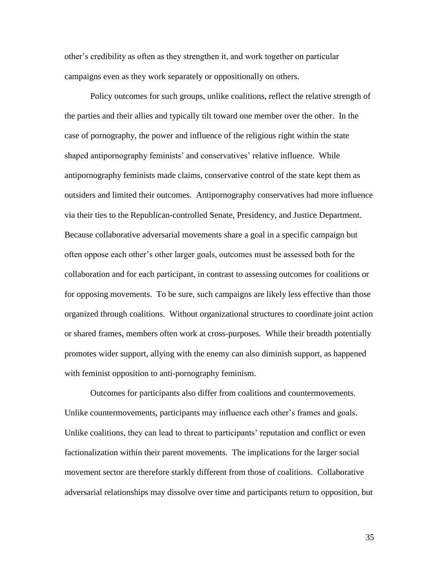other's credibility as often as they strengthen it, and work together on particular campaigns even as they work separately or oppositionally on others.

Policy outcomes for such groups, unlike coalitions, reflect the relative strength of the parties and their allies and typically tilt toward one member over the other. In the case of pornography, the power and influence of the religious right within the state shaped antipornography feminists' and conservatives' relative influence. While antipornography feminists made claims, conservative control of the state kept them as outsiders and limited their outcomes. Antipornography conservatives had more influence via their ties to the Republican-controlled Senate, Presidency, and Justice Department. Because collaborative adversarial movements share a goal in a specific campaign but often oppose each other's other larger goals, outcomes must be assessed both for the collaboration and for each participant, in contrast to assessing outcomes for coalitions or for opposing movements. To be sure, such campaigns are likely less effective than those organized through coalitions. Without organizational structures to coordinate joint action or shared frames, members often work at cross-purposes. While their breadth potentially promotes wider support, allying with the enemy can also diminish support, as happened with feminist opposition to anti-pornography feminism.

Outcomes for participants also differ from coalitions and countermovements. Unlike countermovements, participants may influence each other's frames and goals. Unlike coalitions, they can lead to threat to participants' reputation and conflict or even factionalization within their parent movements. The implications for the larger social movement sector are therefore starkly different from those of coalitions. Collaborative adversarial relationships may dissolve over time and participants return to opposition, but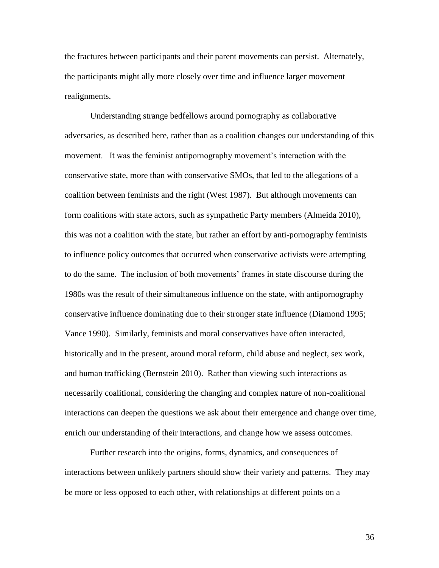the fractures between participants and their parent movements can persist. Alternately, the participants might ally more closely over time and influence larger movement realignments.

Understanding strange bedfellows around pornography as collaborative adversaries, as described here, rather than as a coalition changes our understanding of this movement. It was the feminist antipornography movement's interaction with the conservative state, more than with conservative SMOs, that led to the allegations of a coalition between feminists and the right (West 1987). But although movements can form coalitions with state actors, such as sympathetic Party members (Almeida 2010), this was not a coalition with the state, but rather an effort by anti-pornography feminists to influence policy outcomes that occurred when conservative activists were attempting to do the same. The inclusion of both movements' frames in state discourse during the 1980s was the result of their simultaneous influence on the state, with antipornography conservative influence dominating due to their stronger state influence (Diamond 1995; Vance 1990). Similarly, feminists and moral conservatives have often interacted, historically and in the present, around moral reform, child abuse and neglect, sex work, and human trafficking (Bernstein 2010). Rather than viewing such interactions as necessarily coalitional, considering the changing and complex nature of non-coalitional interactions can deepen the questions we ask about their emergence and change over time, enrich our understanding of their interactions, and change how we assess outcomes.

Further research into the origins, forms, dynamics, and consequences of interactions between unlikely partners should show their variety and patterns. They may be more or less opposed to each other, with relationships at different points on a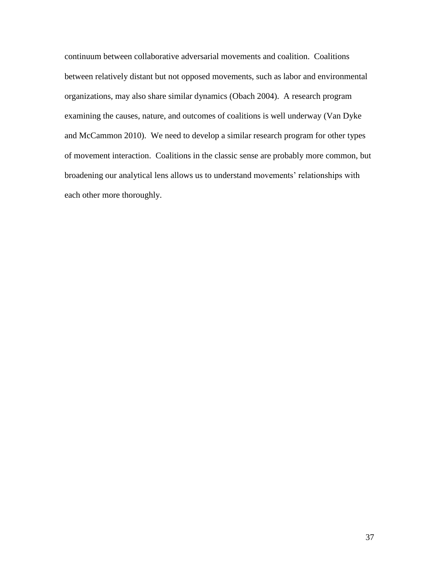continuum between collaborative adversarial movements and coalition. Coalitions between relatively distant but not opposed movements, such as labor and environmental organizations, may also share similar dynamics (Obach 2004). A research program examining the causes, nature, and outcomes of coalitions is well underway (Van Dyke and McCammon 2010). We need to develop a similar research program for other types of movement interaction. Coalitions in the classic sense are probably more common, but broadening our analytical lens allows us to understand movements' relationships with each other more thoroughly.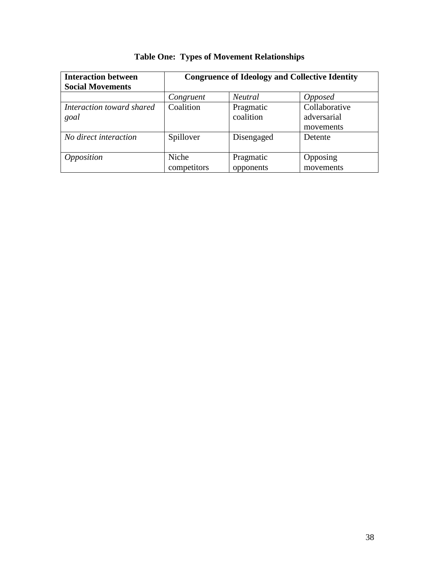| <b>Interaction between</b><br><b>Social Movements</b> | <b>Congruence of Ideology and Collective Identity</b> |                        |                                           |
|-------------------------------------------------------|-------------------------------------------------------|------------------------|-------------------------------------------|
|                                                       | Congruent                                             | <i>Neutral</i>         | <i>Opposed</i>                            |
| Interaction toward shared<br>goal                     | Coalition                                             | Pragmatic<br>coalition | Collaborative<br>adversarial<br>movements |
| No direct interaction                                 | Spillover                                             | Disengaged             | Detente                                   |
| <i><b>Opposition</b></i>                              | Niche<br>competitors                                  | Pragmatic<br>opponents | Opposing<br>movements                     |

# **Table One: Types of Movement Relationships**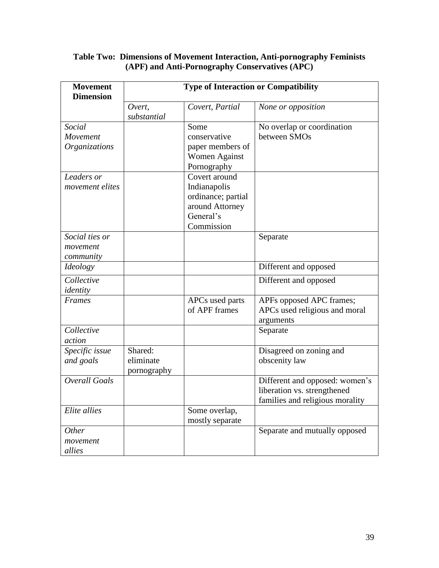# **Table Two: Dimensions of Movement Interaction, Anti-pornography Feminists (APF) and Anti-Pornography Conservatives (APC)**

| <b>Movement</b><br><b>Dimension</b>     | <b>Type of Interaction or Compatibility</b> |                                                                                                   |                                                                                                  |  |
|-----------------------------------------|---------------------------------------------|---------------------------------------------------------------------------------------------------|--------------------------------------------------------------------------------------------------|--|
|                                         | Overt,<br>substantial                       | Covert, Partial                                                                                   | None or opposition                                                                               |  |
| Social<br>Movement<br>Organizations     |                                             | Some<br>conservative<br>paper members of<br><b>Women Against</b><br>Pornography                   | No overlap or coordination<br>between SMOs                                                       |  |
| Leaders or<br>movement elites           |                                             | Covert around<br>Indianapolis<br>ordinance; partial<br>around Attorney<br>General's<br>Commission |                                                                                                  |  |
| Social ties or<br>movement<br>community |                                             |                                                                                                   | Separate                                                                                         |  |
| Ideology                                |                                             |                                                                                                   | Different and opposed                                                                            |  |
| Collective<br>identity                  |                                             |                                                                                                   | Different and opposed                                                                            |  |
| Frames                                  |                                             | APCs used parts<br>of APF frames                                                                  | APFs opposed APC frames;<br>APCs used religious and moral<br>arguments                           |  |
| Collective<br>action                    |                                             |                                                                                                   | Separate                                                                                         |  |
| Specific issue<br>and goals             | Shared:<br>eliminate<br>pornography         |                                                                                                   | Disagreed on zoning and<br>obscenity law                                                         |  |
| Overall Goals                           |                                             |                                                                                                   | Different and opposed: women's<br>liberation vs. strengthened<br>families and religious morality |  |
| Elite allies                            |                                             | Some overlap,<br>mostly separate                                                                  |                                                                                                  |  |
| Other<br>movement<br>allies             |                                             |                                                                                                   | Separate and mutually opposed                                                                    |  |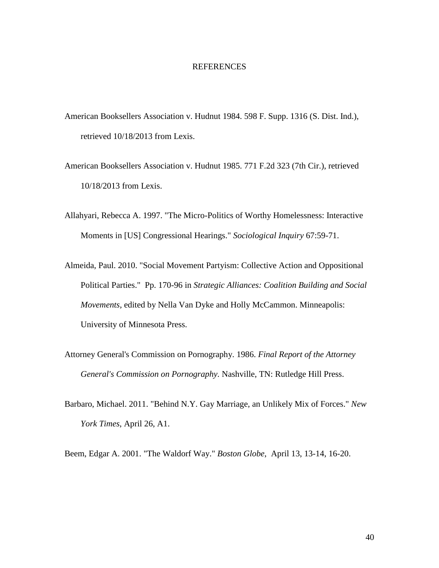#### REFERENCES

- American Booksellers Association v. Hudnut 1984. 598 F. Supp. 1316 (S. Dist. Ind.), retrieved 10/18/2013 from Lexis.
- American Booksellers Association v. Hudnut 1985. 771 F.2d 323 (7th Cir.), retrieved 10/18/2013 from Lexis.
- Allahyari, Rebecca A. 1997. "The Micro-Politics of Worthy Homelessness: Interactive Moments in [US] Congressional Hearings." *Sociological Inquiry* 67:59-71.
- Almeida, Paul. 2010. "Social Movement Partyism: Collective Action and Oppositional Political Parties." Pp. 170-96 in *Strategic Alliances: Coalition Building and Social Movements,* edited by Nella Van Dyke and Holly McCammon. Minneapolis: University of Minnesota Press.
- Attorney General's Commission on Pornography. 1986. *Final Report of the Attorney General's Commission on Pornography.* Nashville, TN: Rutledge Hill Press.
- Barbaro, Michael. 2011. "Behind N.Y. Gay Marriage, an Unlikely Mix of Forces." *New York Times*, April 26, A1.

Beem, Edgar A. 2001. "The Waldorf Way." *Boston Globe*, April 13, 13-14, 16-20.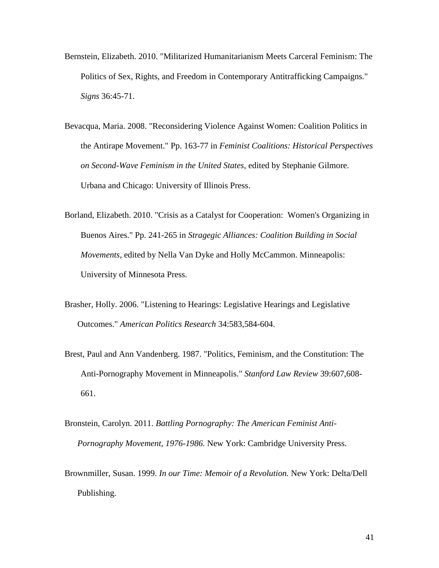- Bernstein, Elizabeth. 2010. "Militarized Humanitarianism Meets Carceral Feminism: The Politics of Sex, Rights, and Freedom in Contemporary Antitrafficking Campaigns." *Signs* 36:45-71.
- Bevacqua, Maria. 2008. "Reconsidering Violence Against Women: Coalition Politics in the Antirape Movement." Pp. 163-77 in *Feminist Coalitions: Historical Perspectives on Second-Wave Feminism in the United States,* edited by Stephanie Gilmore. Urbana and Chicago: University of Illinois Press.
- Borland, Elizabeth. 2010. "Crisis as a Catalyst for Cooperation: Women's Organizing in Buenos Aires." Pp. 241-265 in *Stragegic Alliances: Coalition Building in Social Movements,* edited by Nella Van Dyke and Holly McCammon. Minneapolis: University of Minnesota Press.
- Brasher, Holly. 2006. "Listening to Hearings: Legislative Hearings and Legislative Outcomes." *American Politics Research* 34:583,584-604.
- Brest, Paul and Ann Vandenberg. 1987. "Politics, Feminism, and the Constitution: The Anti-Pornography Movement in Minneapolis." *Stanford Law Review* 39:607,608- 661.
- Bronstein, Carolyn. 2011. *Battling Pornography: The American Feminist Anti-Pornography Movement, 1976-1986.* New York: Cambridge University Press.
- Brownmiller, Susan. 1999. *In our Time: Memoir of a Revolution.* New York: Delta/Dell Publishing.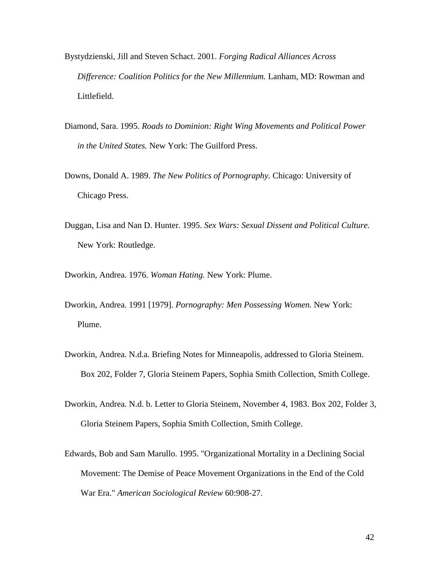- Bystydzienski, Jill and Steven Schact. 2001. *Forging Radical Alliances Across Difference: Coalition Politics for the New Millennium.* Lanham, MD: Rowman and Littlefield.
- Diamond, Sara. 1995. *Roads to Dominion: Right Wing Movements and Political Power in the United States.* New York: The Guilford Press.
- Downs, Donald A. 1989. *The New Politics of Pornography.* Chicago: University of Chicago Press.
- Duggan, Lisa and Nan D. Hunter. 1995. *Sex Wars: Sexual Dissent and Political Culture.*  New York: Routledge.

Dworkin, Andrea. 1976. *Woman Hating.* New York: Plume.

- Dworkin, Andrea. 1991 [1979]. *Pornography: Men Possessing Women.* New York: Plume.
- Dworkin, Andrea. N.d.a. Briefing Notes for Minneapolis, addressed to Gloria Steinem. Box 202, Folder 7, Gloria Steinem Papers, Sophia Smith Collection, Smith College.
- Dworkin, Andrea. N.d. b. Letter to Gloria Steinem, November 4, 1983. Box 202, Folder 3, Gloria Steinem Papers, Sophia Smith Collection, Smith College.
- Edwards, Bob and Sam Marullo. 1995. "Organizational Mortality in a Declining Social Movement: The Demise of Peace Movement Organizations in the End of the Cold War Era." *American Sociological Review* 60:908-27.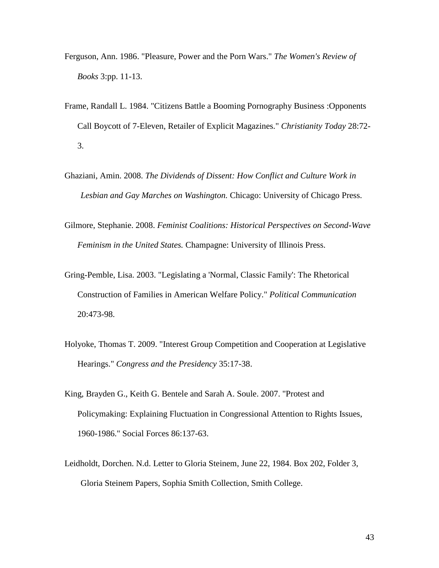- Ferguson, Ann. 1986. "Pleasure, Power and the Porn Wars." *The Women's Review of Books* 3:pp. 11-13.
- Frame, Randall L. 1984. "Citizens Battle a Booming Pornography Business :Opponents Call Boycott of 7-Eleven, Retailer of Explicit Magazines." *Christianity Today* 28:72- 3.
- Ghaziani, Amin. 2008. *The Dividends of Dissent: How Conflict and Culture Work in Lesbian and Gay Marches on Washington.* Chicago: University of Chicago Press.
- Gilmore, Stephanie. 2008. *Feminist Coalitions: Historical Perspectives on Second-Wave Feminism in the United States.* Champagne: University of Illinois Press.
- Gring-Pemble, Lisa. 2003. "Legislating a 'Normal, Classic Family': The Rhetorical Construction of Families in American Welfare Policy." *Political Communication* 20:473-98.
- Holyoke, Thomas T. 2009. "Interest Group Competition and Cooperation at Legislative Hearings." *Congress and the Presidency* 35:17-38.
- King, Brayden G., Keith G. Bentele and Sarah A. Soule. 2007. "Protest and Policymaking: Explaining Fluctuation in Congressional Attention to Rights Issues, 1960-1986." Social Forces 86:137-63.
- Leidholdt, Dorchen. N.d. Letter to Gloria Steinem, June 22, 1984. Box 202, Folder 3, Gloria Steinem Papers, Sophia Smith Collection, Smith College.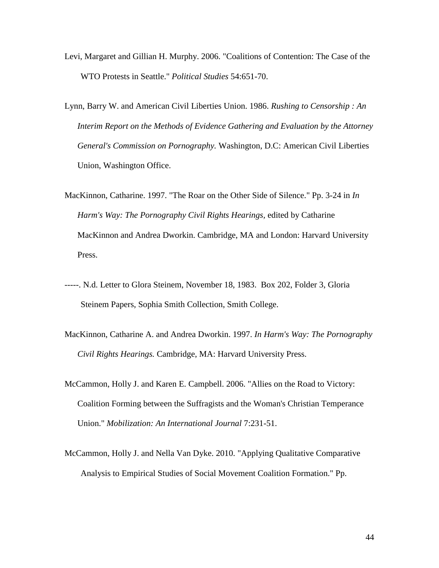- Levi, Margaret and Gillian H. Murphy. 2006. "Coalitions of Contention: The Case of the WTO Protests in Seattle." *Political Studies* 54:651-70.
- Lynn, Barry W. and American Civil Liberties Union. 1986. *Rushing to Censorship : An Interim Report on the Methods of Evidence Gathering and Evaluation by the Attorney General's Commission on Pornography.* Washington, D.C: American Civil Liberties Union, Washington Office.
- MacKinnon, Catharine. 1997. "The Roar on the Other Side of Silence." Pp. 3-24 in *In Harm's Way: The Pornography Civil Rights Hearings,* edited by Catharine MacKinnon and Andrea Dworkin. Cambridge, MA and London: Harvard University Press.
- -----. N.d. Letter to Glora Steinem, November 18, 1983. Box 202, Folder 3, Gloria Steinem Papers, Sophia Smith Collection, Smith College.
- MacKinnon, Catharine A. and Andrea Dworkin. 1997. *In Harm's Way: The Pornography Civil Rights Hearings.* Cambridge, MA: Harvard University Press.
- McCammon, Holly J. and Karen E. Campbell. 2006. "Allies on the Road to Victory: Coalition Forming between the Suffragists and the Woman's Christian Temperance Union." *Mobilization: An International Journal* 7:231-51.
- McCammon, Holly J. and Nella Van Dyke. 2010. "Applying Qualitative Comparative Analysis to Empirical Studies of Social Movement Coalition Formation." Pp.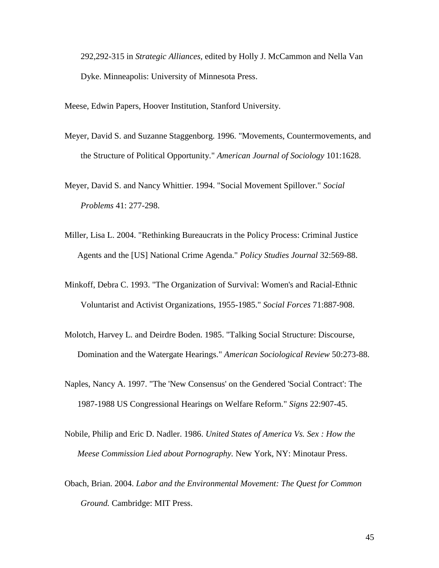292,292-315 in *Strategic Alliances,* edited by Holly J. McCammon and Nella Van Dyke. Minneapolis: University of Minnesota Press.

Meese, Edwin Papers, Hoover Institution, Stanford University.

- Meyer, David S. and Suzanne Staggenborg. 1996. "Movements, Countermovements, and the Structure of Political Opportunity." *American Journal of Sociology* 101:1628.
- Meyer, David S. and Nancy Whittier. 1994. "Social Movement Spillover." *Social Problems* 41: 277-298.
- Miller, Lisa L. 2004. "Rethinking Bureaucrats in the Policy Process: Criminal Justice Agents and the [US] National Crime Agenda." *Policy Studies Journal* 32:569-88.
- Minkoff, Debra C. 1993. "The Organization of Survival: Women's and Racial-Ethnic Voluntarist and Activist Organizations, 1955-1985." *Social Forces* 71:887-908.
- Molotch, Harvey L. and Deirdre Boden. 1985. "Talking Social Structure: Discourse, Domination and the Watergate Hearings." *American Sociological Review* 50:273-88.
- Naples, Nancy A. 1997. "The 'New Consensus' on the Gendered 'Social Contract': The 1987-1988 US Congressional Hearings on Welfare Reform." *Signs* 22:907-45.
- Nobile, Philip and Eric D. Nadler. 1986. *United States of America Vs. Sex : How the Meese Commission Lied about Pornography.* New York, NY: Minotaur Press.
- Obach, Brian. 2004. *Labor and the Environmental Movement: The Quest for Common Ground.* Cambridge: MIT Press.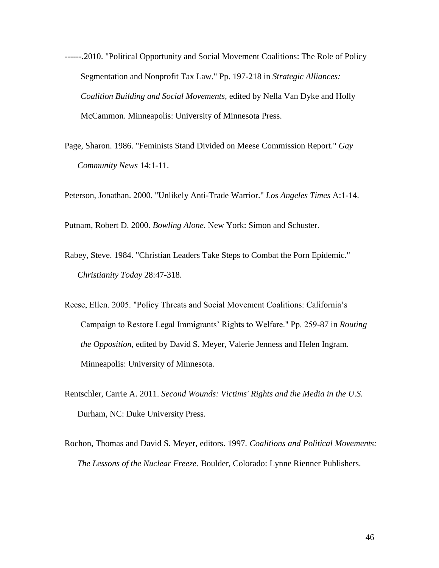- ------.2010. "Political Opportunity and Social Movement Coalitions: The Role of Policy Segmentation and Nonprofit Tax Law." Pp. 197-218 in *Strategic Alliances: Coalition Building and Social Movements,* edited by Nella Van Dyke and Holly McCammon. Minneapolis: University of Minnesota Press.
- Page, Sharon. 1986. "Feminists Stand Divided on Meese Commission Report." *Gay Community News* 14:1-11.

Peterson, Jonathan. 2000. "Unlikely Anti-Trade Warrior." *Los Angeles Times* A:1-14.

Putnam, Robert D. 2000. *Bowling Alone.* New York: Simon and Schuster.

- Rabey, Steve. 1984. "Christian Leaders Take Steps to Combat the Porn Epidemic." *Christianity Today* 28:47-318.
- Reese, Ellen. 2005. "Policy Threats and Social Movement Coalitions: California's Campaign to Restore Legal Immigrants' Rights to Welfare." Pp. 259-87 in *Routing the Opposition,* edited by David S. Meyer, Valerie Jenness and Helen Ingram. Minneapolis: University of Minnesota.
- Rentschler, Carrie A. 2011. *Second Wounds: Victims' Rights and the Media in the U.S.*  Durham, NC: Duke University Press.
- Rochon, Thomas and David S. Meyer, editors. 1997. *Coalitions and Political Movements: The Lessons of the Nuclear Freeze.* Boulder, Colorado: Lynne Rienner Publishers.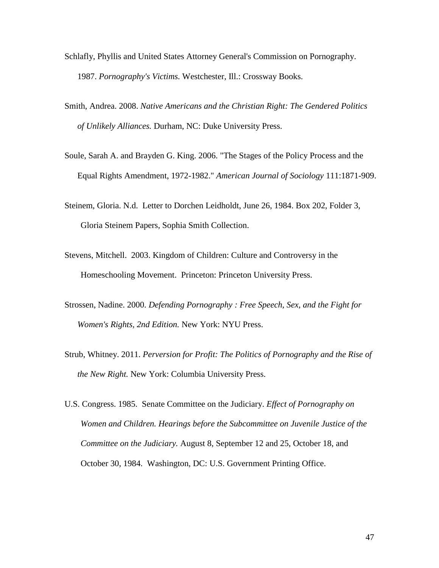- Schlafly, Phyllis and United States Attorney General's Commission on Pornography. 1987. *Pornography's Victims.* Westchester, Ill.: Crossway Books.
- Smith, Andrea. 2008. *Native Americans and the Christian Right: The Gendered Politics of Unlikely Alliances.* Durham, NC: Duke University Press.
- Soule, Sarah A. and Brayden G. King. 2006. "The Stages of the Policy Process and the Equal Rights Amendment, 1972-1982." *American Journal of Sociology* 111:1871-909.
- Steinem, Gloria. N.d. Letter to Dorchen Leidholdt, June 26, 1984. Box 202, Folder 3, Gloria Steinem Papers, Sophia Smith Collection.
- Stevens, Mitchell. 2003. Kingdom of Children: Culture and Controversy in the Homeschooling Movement. Princeton: Princeton University Press.
- Strossen, Nadine. 2000. *Defending Pornography : Free Speech, Sex, and the Fight for Women's Rights, 2nd Edition.* New York: NYU Press.
- Strub, Whitney. 2011. *Perversion for Profit: The Politics of Pornography and the Rise of the New Right.* New York: Columbia University Press.
- U.S. Congress. 1985. Senate Committee on the Judiciary. *Effect of Pornography on Women and Children. Hearings before the Subcommittee on Juvenile Justice of the Committee on the Judiciary.* August 8, September 12 and 25, October 18, and October 30, 1984. Washington, DC: U.S. Government Printing Office.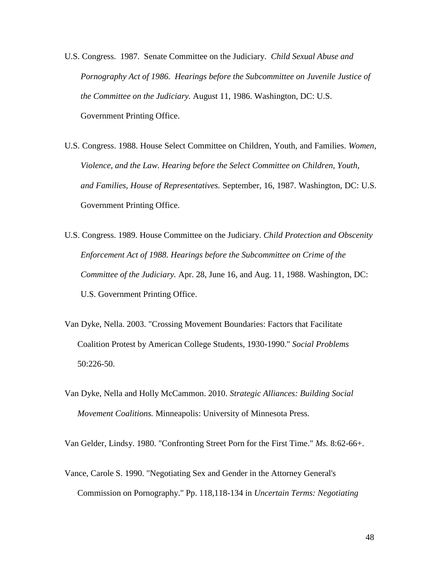- U.S. Congress. 1987. Senate Committee on the Judiciary. *Child Sexual Abuse and Pornography Act of 1986. Hearings before the Subcommittee on Juvenile Justice of the Committee on the Judiciary.* August 11, 1986. Washington, DC: U.S. Government Printing Office.
- U.S. Congress. 1988. House Select Committee on Children, Youth, and Families. *Women, Violence, and the Law. Hearing before the Select Committee on Children, Youth, and Families, House of Representatives.* September, 16, 1987. Washington, DC: U.S. Government Printing Office.
- U.S. Congress. 1989. House Committee on the Judiciary. *Child Protection and Obscenity Enforcement Act of 1988. Hearings before the Subcommittee on Crime of the Committee of the Judiciary.* Apr. 28, June 16, and Aug. 11, 1988. Washington, DC: U.S. Government Printing Office.
- Van Dyke, Nella. 2003. "Crossing Movement Boundaries: Factors that Facilitate Coalition Protest by American College Students, 1930-1990." *Social Problems* 50:226-50.
- Van Dyke, Nella and Holly McCammon. 2010. *Strategic Alliances: Building Social Movement Coalitions.* Minneapolis: University of Minnesota Press.

Van Gelder, Lindsy. 1980. "Confronting Street Porn for the First Time." *Ms.* 8:62-66+.

Vance, Carole S. 1990. "Negotiating Sex and Gender in the Attorney General's Commission on Pornography." Pp. 118,118-134 in *Uncertain Terms: Negotiating*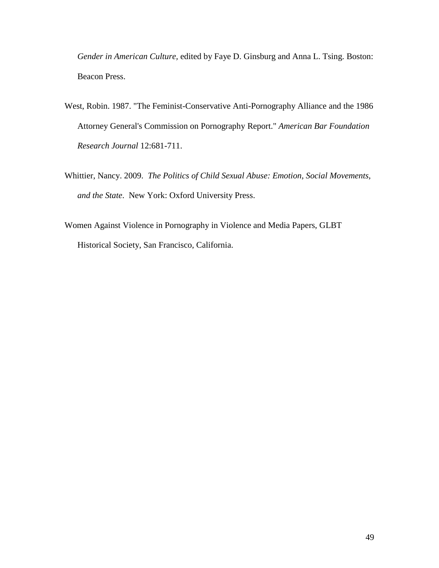*Gender in American Culture,* edited by Faye D. Ginsburg and Anna L. Tsing. Boston: Beacon Press.

- West, Robin. 1987. "The Feminist-Conservative Anti-Pornography Alliance and the 1986 Attorney General's Commission on Pornography Report." *American Bar Foundation Research Journal* 12:681-711.
- Whittier, Nancy. 2009. *The Politics of Child Sexual Abuse: Emotion, Social Movements, and the State*. New York: Oxford University Press.
- Women Against Violence in Pornography in Violence and Media Papers, GLBT Historical Society, San Francisco, California.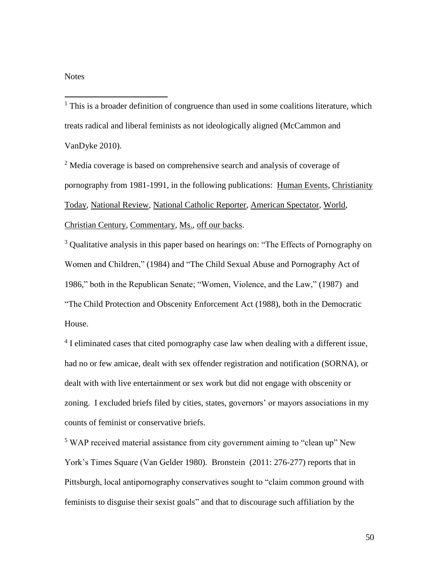## **Notes**

 $\overline{a}$ 

 $<sup>1</sup>$  This is a broader definition of congruence than used in some coalitions literature, which</sup> treats radical and liberal feminists as not ideologically aligned (McCammon and VanDyke 2010).

<sup>2</sup> Media coverage is based on comprehensive search and analysis of coverage of pornography from 1981-1991, in the following publications: Human Events, Christianity Today, National Review, National Catholic Reporter, American Spectator, World, Christian Century, Commentary, Ms., off our backs.

<sup>3</sup> Qualitative analysis in this paper based on hearings on: "The Effects of Pornography on Women and Children," (1984) and "The Child Sexual Abuse and Pornography Act of 1986," both in the Republican Senate; "Women, Violence, and the Law," (1987) and "The Child Protection and Obscenity Enforcement Act (1988), both in the Democratic House.

<sup>4</sup> I eliminated cases that cited pornography case law when dealing with a different issue, had no or few amicae, dealt with sex offender registration and notification (SORNA), or dealt with with live entertainment or sex work but did not engage with obscenity or zoning. I excluded briefs filed by cities, states, governors' or mayors associations in my counts of feminist or conservative briefs.

<sup>5</sup> WAP received material assistance from city government aiming to "clean up" New York's Times Square (Van Gelder 1980). Bronstein (2011: 276-277) reports that in Pittsburgh, local antipornography conservatives sought to "claim common ground with feminists to disguise their sexist goals" and that to discourage such affiliation by the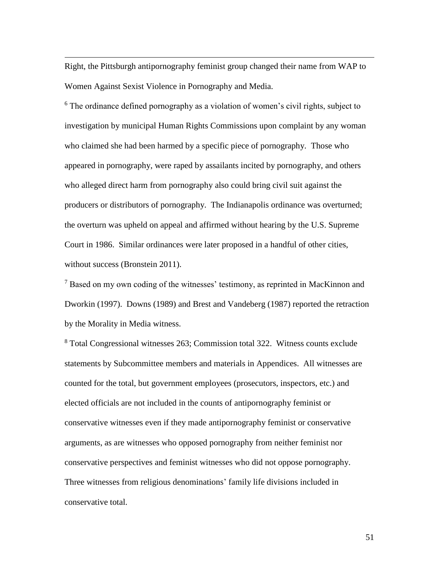Right, the Pittsburgh antipornography feminist group changed their name from WAP to Women Against Sexist Violence in Pornography and Media.

 $\overline{a}$ 

<sup>6</sup> The ordinance defined pornography as a violation of women's civil rights, subject to investigation by municipal Human Rights Commissions upon complaint by any woman who claimed she had been harmed by a specific piece of pornography. Those who appeared in pornography, were raped by assailants incited by pornography, and others who alleged direct harm from pornography also could bring civil suit against the producers or distributors of pornography. The Indianapolis ordinance was overturned; the overturn was upheld on appeal and affirmed without hearing by the U.S. Supreme Court in 1986. Similar ordinances were later proposed in a handful of other cities, without success (Bronstein 2011).

<sup>7</sup> Based on my own coding of the witnesses' testimony, as reprinted in MacKinnon and Dworkin (1997). Downs (1989) and Brest and Vandeberg (1987) reported the retraction by the Morality in Media witness.

<sup>8</sup> Total Congressional witnesses 263; Commission total 322. Witness counts exclude statements by Subcommittee members and materials in Appendices. All witnesses are counted for the total, but government employees (prosecutors, inspectors, etc.) and elected officials are not included in the counts of antipornography feminist or conservative witnesses even if they made antipornography feminist or conservative arguments, as are witnesses who opposed pornography from neither feminist nor conservative perspectives and feminist witnesses who did not oppose pornography. Three witnesses from religious denominations' family life divisions included in conservative total.